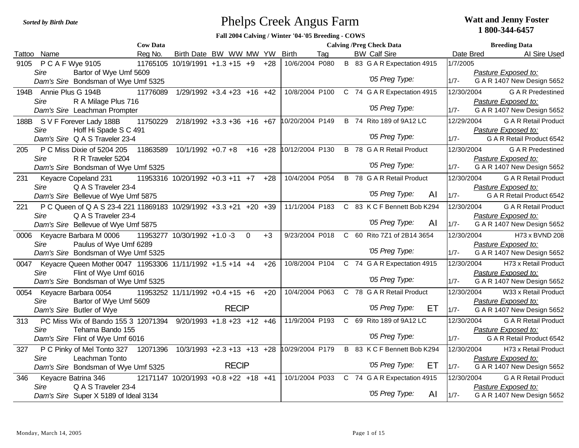## Phelps Creek Angus Farm *Sorted by Birth Date* **Watt and Jenny Foster**

## **1 800-344-6457**

**Fall 2004 Calving / Winter '04-'05 Breeding - COWS**

|      |                              |                                                                  | <b>Cow Data</b> |                                      |              |             |       |                 |     | <b>Calving /Preg Check Data</b> |                                            |     |            | <b>Breeding Data</b>        |  |
|------|------------------------------|------------------------------------------------------------------|-----------------|--------------------------------------|--------------|-------------|-------|-----------------|-----|---------------------------------|--------------------------------------------|-----|------------|-----------------------------|--|
|      | Tattoo Name                  |                                                                  | Reg No.         | Birth Date BW WW MW YW               |              |             |       | <b>Birth</b>    | Tag | <b>BW Calf Sire</b>             |                                            |     | Date Bred  | Al Sire Used                |  |
| 9105 | P C A F Wye 9105             |                                                                  |                 | 11765105 10/19/1991 +1.3 +15 +9      |              |             | $+28$ | 10/6/2004 P080  |     |                                 | B 83 G A R Expectation 4915                |     | 1/7/2005   |                             |  |
|      | Sire                         | Bartor of Wye Umf 5609                                           |                 |                                      |              |             |       |                 |     |                                 |                                            |     |            | Pasture Exposed to:         |  |
|      |                              | Dam's Sire Bondsman of Wye Umf 5325                              |                 |                                      |              |             |       |                 |     |                                 | '05 Preg Type:                             |     | $1/7 -$    | G A R 1407 New Design 5652  |  |
|      | 194B Annie Plus G 194B       |                                                                  | 11776089        | $1/29/1992 + 3.4 + 23 + 16 + 42$     |              |             |       | 10/8/2004 P100  |     |                                 | C 74 G A R Expectation 4915                |     | 12/30/2004 | <b>G A R Predestined</b>    |  |
|      | Sire                         | R A Milage Plus 716                                              |                 |                                      |              |             |       |                 |     |                                 |                                            |     |            | Pasture Exposed to:         |  |
|      |                              | Dam's Sire Leachman Prompter                                     |                 |                                      |              |             |       |                 |     |                                 | '05 Preg Type:                             |     | $1/7 -$    | G A R 1407 New Design 5652  |  |
|      | 188B S V F Forever Lady 188B |                                                                  | 11750229        | $2/18/1992 + 3.3 + 36 + 16 + 67$     |              |             |       | 10/20/2004 P149 |     |                                 | B 74 Rito 189 of 9A12 LC                   |     | 12/29/2004 | <b>G A R Retail Product</b> |  |
|      | Sire                         | Hoff Hi Spade S C 491                                            |                 |                                      |              |             |       |                 |     |                                 |                                            |     |            | Pasture Exposed to:         |  |
|      |                              | Dam's Sire Q A S Traveler 23-4                                   |                 |                                      |              |             |       |                 |     |                                 | '05 Preg Type:                             |     | $1/7 -$    | G A R Retail Product 6542   |  |
| 205  |                              | P C Miss Dixie of 5204 205                                       | 11863589        | $10/1/1992 +0.7 +8$                  |              | $+16$ +28   |       | 10/12/2004 P130 |     |                                 | B 78 G A R Retail Product                  |     | 12/30/2004 | <b>G A R Predestined</b>    |  |
|      | Sire                         | R R Traveler 5204                                                |                 |                                      |              |             |       |                 |     |                                 |                                            |     |            | Pasture Exposed to:         |  |
|      |                              | Dam's Sire Bondsman of Wye Umf 5325                              |                 |                                      |              |             |       |                 |     |                                 | '05 Preg Type:                             |     | $1/7 -$    | G A R 1407 New Design 5652  |  |
| 231  | Keyacre Copeland 231         |                                                                  |                 | 11953316 10/20/1992 +0.3 +11 +7      |              |             | $+28$ | 10/4/2004 P054  |     |                                 | B 78 G A R Retail Product                  |     | 12/30/2004 | <b>G A R Retail Product</b> |  |
|      | Sire                         | Q A S Traveler 23-4                                              |                 |                                      |              |             |       |                 |     |                                 |                                            |     |            | Pasture Exposed to:         |  |
|      |                              | Dam's Sire Bellevue of Wye Umf 5875                              |                 |                                      |              |             |       |                 |     |                                 | '05 Preg Type:                             | AI  | $1/7 -$    | G A R Retail Product 6542   |  |
| 221  |                              | P C Queen of Q A S 23-4 221 11869183 10/29/1992 +3.3 +21 +20 +39 |                 |                                      |              |             |       | 11/1/2004 P183  |     |                                 | C 83 K C F Bennett Bob K294                |     | 12/30/2004 | <b>G A R Retail Product</b> |  |
|      | Sire                         | Q A S Traveler 23-4                                              |                 |                                      |              |             |       |                 |     |                                 |                                            |     |            | Pasture Exposed to:         |  |
|      |                              | Dam's Sire Bellevue of Wye Umf 5875                              |                 |                                      |              |             |       |                 |     |                                 | '05 Preg Type:                             | AI  | $1/7 -$    | G A R 1407 New Design 5652  |  |
| 0006 | Keyacre Barbara M 0006       |                                                                  |                 | 11953277 10/30/1992 +1.0 -3          |              | $\mathbf 0$ | $+3$  | 9/23/2004 P018  |     |                                 | C 60 Rito 7Z1 of 2B14 3654                 |     | 12/30/2004 | H73 x BVND 208              |  |
|      | Sire                         | Paulus of Wye Umf 6289                                           |                 |                                      |              |             |       |                 |     |                                 |                                            |     |            | Pasture Exposed to:         |  |
|      |                              | Dam's Sire Bondsman of Wye Umf 5325                              |                 |                                      |              |             |       |                 |     |                                 | '05 Preg Type:                             |     | $1/7 -$    | G A R 1407 New Design 5652  |  |
|      |                              | 0047 Keyacre Queen Mother 0047 11953306 11/11/1992 +1.5 +14 +4   |                 |                                      |              |             | $+26$ |                 |     |                                 | 10/8/2004 P104 C 74 G A R Expectation 4915 |     | 12/30/2004 | H73 x Retail Product        |  |
|      | Sire                         | Flint of Wye Umf 6016                                            |                 |                                      |              |             |       |                 |     |                                 |                                            |     |            | Pasture Exposed to:         |  |
|      |                              | Dam's Sire Bondsman of Wye Umf 5325                              |                 |                                      |              |             |       |                 |     |                                 | '05 Preg Type:                             |     | $1/7 -$    | G A R 1407 New Design 5652  |  |
| 0054 | Keyacre Barbara 0054         |                                                                  |                 | 11953252 11/11/1992 +0.4 +15 +6      |              |             | $+20$ | 10/4/2004 P063  |     |                                 | C 78 G A R Retail Product                  |     | 12/30/2004 | W33 x Retail Product        |  |
|      | Sire                         | Bartor of Wye Umf 5609                                           |                 |                                      |              |             |       |                 |     |                                 |                                            |     |            | Pasture Exposed to:         |  |
|      | Dam's Sire Butler of Wye     |                                                                  |                 |                                      | <b>RECIP</b> |             |       |                 |     |                                 | '05 Preg Type:                             | ET. | $1/7 -$    | G A R 1407 New Design 5652  |  |
| 313  |                              | PC Miss Wix of Bando 155 3 12071394 9/20/1993 +1.8 +23 +12 +46   |                 |                                      |              |             |       | 11/9/2004 P193  |     |                                 | C 69 Rito 189 of 9A12 LC                   |     | 12/30/2004 | <b>G A R Retail Product</b> |  |
|      | Sire                         | Tehama Bando 155                                                 |                 |                                      |              |             |       |                 |     |                                 |                                            |     |            | Pasture Exposed to:         |  |
|      |                              | Dam's Sire Flint of Wye Umf 6016                                 |                 |                                      |              |             |       |                 |     |                                 | '05 Preg Type:                             |     | $1/7 -$    | G A R Retail Product 6542   |  |
| 327  |                              | P C Pinky of Mel Tonto 327                                       |                 | 12071396 10/3/1993 +2.3 +13 +13 +28  |              |             |       | 10/29/2004 P179 |     |                                 | B 83 K C F Bennett Bob K294                |     | 12/30/2004 | H73 x Retail Product        |  |
|      | Sire                         | Leachman Tonto                                                   |                 |                                      |              |             |       |                 |     |                                 |                                            |     |            | Pasture Exposed to:         |  |
|      |                              | Dam's Sire Bondsman of Wye Umf 5325                              |                 |                                      | <b>RECIP</b> |             |       |                 |     |                                 | '05 Preg Type:                             | ET. | $1/7 -$    | G A R 1407 New Design 5652  |  |
| 346  | Keyacre Batrina 346          |                                                                  |                 | 12171147 10/20/1993 +0.8 +22 +18 +41 |              |             |       | 10/1/2004 P033  |     |                                 | C 74 G A R Expectation 4915                |     | 12/30/2004 | <b>G A R Retail Product</b> |  |
|      | Sire                         | Q A S Traveler 23-4                                              |                 |                                      |              |             |       |                 |     |                                 |                                            |     |            | Pasture Exposed to:         |  |
|      |                              | Dam's Sire Super X 5189 of Ideal 3134                            |                 |                                      |              |             |       |                 |     |                                 | '05 Preg Type:                             | AI  | $1/7 -$    | G A R 1407 New Design 5652  |  |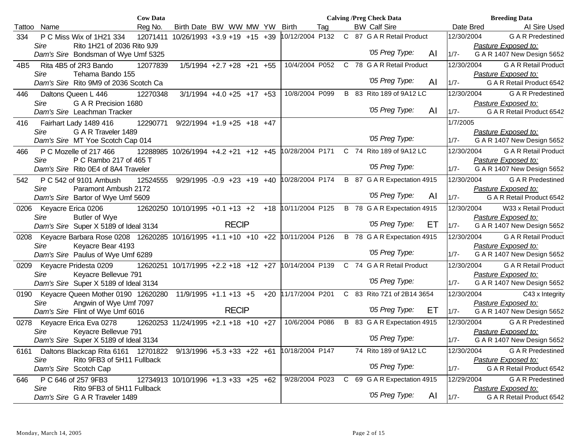|        |                                                                       | <b>Cow Data</b> |                                      |                                 |       |                 |     | <b>Calving /Preg Check Data</b> |    |            | <b>Breeding Data</b>                              |
|--------|-----------------------------------------------------------------------|-----------------|--------------------------------------|---------------------------------|-------|-----------------|-----|---------------------------------|----|------------|---------------------------------------------------|
| Tattoo | Name                                                                  | Reg No.         | Birth Date BW WW MW YW               |                                 |       | Birth           | Tag | <b>BW Calf Sire</b>             |    | Date Bred  | AI Sire Used                                      |
| 334    | P C Miss Wix of 1H21 334                                              |                 | 12071411 10/26/1993 +3.9 +19 +15 +39 |                                 |       | 10/12/2004 P132 |     | C 87 G A R Retail Product       |    | 12/30/2004 | <b>GAR</b> Predestined                            |
|        | Rito 1H21 of 2036 Rito 9J9<br>Sire                                    |                 |                                      |                                 |       |                 |     |                                 |    |            | Pasture Exposed to:                               |
|        | Dam's Sire Bondsman of Wye Umf 5325                                   |                 |                                      |                                 |       |                 |     | '05 Preg Type:                  | AI | $1/7 -$    | G A R 1407 New Design 5652                        |
| 4B5    | Rita 4B5 of 2R3 Bando                                                 | 12077839        |                                      | $1/5/1994 +2.7 +28 +21 +55$     |       | 10/4/2004 P052  |     | C 78 G A R Retail Product       |    | 12/30/2004 | <b>G A R Retail Product</b>                       |
|        | Tehama Bando 155<br>Sire                                              |                 |                                      |                                 |       |                 |     |                                 |    |            | Pasture Exposed to:                               |
|        | Dam's Sire Rito 9M9 of 2036 Scotch Ca                                 |                 |                                      |                                 |       |                 |     | '05 Preg Type:                  | AI | $1/7 -$    | G A R Retail Product 6542                         |
| 446    | Daltons Queen L 446                                                   | 12270348        |                                      | $3/1/1994 + 4.0 + 25 + 17 + 53$ |       | 10/8/2004 P099  |     | B 83 Rito 189 of 9A12 LC        |    | 12/30/2004 | <b>GAR</b> Predestined                            |
|        | G A R Precision 1680<br>Sire                                          |                 |                                      |                                 |       |                 |     |                                 |    |            | Pasture Exposed to:                               |
|        | Dam's Sire Leachman Tracker                                           |                 |                                      |                                 |       |                 |     | '05 Preg Type:                  | AI | $1/7 -$    | G A R Retail Product 6542                         |
| 416    | Fairhart Lady 1489 416                                                | 12290771        | $9/22/1994 + 1.9 + 25 + 18 + 47$     |                                 |       |                 |     |                                 |    | 1/7/2005   |                                                   |
|        | G A R Traveler 1489<br>Sire                                           |                 |                                      |                                 |       |                 |     | '05 Preg Type:                  |    |            | Pasture Exposed to:                               |
|        | Dam's Sire MT Yoe Scotch Cap 014                                      |                 |                                      |                                 |       |                 |     |                                 |    | $1/7 -$    | G A R 1407 New Design 5652                        |
| 466    | P C Mozelle of 217 466                                                |                 | 12288985 10/26/1994 +4.2 +21 +12 +45 |                                 |       | 10/28/2004 P171 |     | C 74 Rito 189 of 9A12 LC        |    | 12/30/2004 | <b>G A R Retail Product</b>                       |
|        | P C Rambo 217 of 465 T<br>Sire                                        |                 |                                      |                                 |       |                 |     | '05 Preg Type:                  |    |            | Pasture Exposed to:                               |
|        | Dam's Sire Rito 0E4 of 8A4 Traveler                                   |                 |                                      |                                 |       |                 |     |                                 |    | $1/7 -$    | G A R 1407 New Design 5652                        |
| 542    | P C 542 of 9101 Ambush                                                | 12524555        | $9/29/1995 -0.9 +23 +19 +40$         |                                 |       | 10/28/2004 P174 |     | B 87 G A R Expectation 4915     |    | 12/30/2004 | <b>GAR</b> Predestined                            |
|        | Sire<br>Paramont Ambush 2172                                          |                 |                                      |                                 |       |                 |     | '05 Preg Type:                  | AI | $1/7 -$    | Pasture Exposed to:                               |
|        | Dam's Sire Bartor of Wye Umf 5609                                     |                 |                                      |                                 |       |                 |     |                                 |    |            | G A R Retail Product 6542                         |
| 0206   | Keyacre Erica 0206                                                    |                 | 12620250 10/10/1995 +0.1 +13 +2      |                                 | $+18$ | 10/11/2004 P125 |     | B 78 G A R Expectation 4915     |    | 12/30/2004 | W33 x Retail Product                              |
|        | Sire<br><b>Butler of Wye</b><br>Dam's Sire Super X 5189 of Ideal 3134 |                 |                                      | <b>RECIP</b>                    |       |                 |     | '05 Preg Type:                  | EТ | $1/7 -$    | Pasture Exposed to:<br>G A R 1407 New Design 5652 |
| 0208   | Keyacre Barbara Rose 0208 12620285 10/16/1995 +1.1 +10 +10 +22        |                 |                                      |                                 |       | 10/11/2004 P126 |     | B 78 G A R Expectation 4915     |    | 12/30/2004 | <b>G A R Retail Product</b>                       |
|        | Sire<br>Keyacre Bear 4193                                             |                 |                                      |                                 |       |                 |     |                                 |    |            | Pasture Exposed to:                               |
|        | Dam's Sire Paulus of Wye Umf 6289                                     |                 |                                      |                                 |       |                 |     | '05 Preg Type:                  |    | $1/7 -$    | G A R 1407 New Design 5652                        |
| 0209   | Keyacre Pridesta 0209                                                 |                 | 12620251 10/17/1995 +2.2 +18 +12 +27 |                                 |       | 10/14/2004 P139 |     | C 74 G A R Retail Product       |    | 12/30/2004 | <b>G A R Retail Product</b>                       |
|        | Keyacre Bellevue 791<br>Sire                                          |                 |                                      |                                 |       |                 |     |                                 |    |            | Pasture Exposed to:                               |
|        | Dam's Sire Super X 5189 of Ideal 3134                                 |                 |                                      |                                 |       |                 |     | '05 Preg Type:                  |    | $1/7 -$    | G A R 1407 New Design 5652                        |
| 0190   | Keyacre Queen Mother 0190 12620280                                    |                 | $11/9/1995 + 1.1 + 13 + 5$           |                                 | $+20$ | 11/17/2004 P201 |     | C 83 Rito 7Z1 of 2B14 3654      |    | 12/30/2004 | C43 x Integrity                                   |
|        | Sire<br>Angwin of Wye Umf 7097                                        |                 |                                      |                                 |       |                 |     |                                 |    |            | Pasture Exposed to:                               |
|        | Dam's Sire Flint of Wye Umf 6016                                      |                 |                                      | <b>RECIP</b>                    |       |                 |     | '05 Preg Type:                  | ET | $1/7 -$    | G A R 1407 New Design 5652                        |
| 0278   | Keyacre Erica Eva 0278                                                |                 | 12620253 11/24/1995 +2.1 +18 +10 +27 |                                 |       | 10/6/2004 P086  |     | B 83 G A R Expectation 4915     |    | 12/30/2004 | <b>GAR</b> Predestined                            |
|        | Keyacre Bellevue 791<br>Sire                                          |                 |                                      |                                 |       |                 |     | '05 Preg Type:                  |    |            | Pasture Exposed to:                               |
|        | Dam's Sire Super X 5189 of Ideal 3134                                 |                 |                                      |                                 |       |                 |     |                                 |    | $1/7 -$    | G A R 1407 New Design 5652                        |
| 6161   | Daltons Blackcap Rita 6161  12701822  9/13/1996  +5.3  +33  +22  +61  |                 |                                      |                                 |       | 10/18/2004 P147 |     | 74 Rito 189 of 9A12 LC          |    | 12/30/2004 | <b>GAR</b> Predestined                            |
|        | Rito 9FB3 of 5H11 Fullback<br>Sire                                    |                 |                                      |                                 |       |                 |     | '05 Preg Type:                  |    |            | Pasture Exposed to:                               |
|        | Dam's Sire Scotch Cap                                                 |                 |                                      |                                 |       |                 |     |                                 |    | $1/7 -$    | G A R Retail Product 6542                         |
| 646    | P C 646 of 257 9FB3                                                   |                 | 12734913 10/10/1996 +1.3 +33 +25 +62 |                                 |       | 9/28/2004 P023  |     | C 69 G A R Expectation 4915     |    | 12/29/2004 | <b>GAR</b> Predestined                            |
|        | Rito 9FB3 of 5H11 Fullback<br>Sire<br>Dam's Sire G A R Traveler 1489  |                 |                                      |                                 |       |                 |     | '05 Preg Type:                  | AI | $1/7 -$    | Pasture Exposed to:<br>G A R Retail Product 6542  |
|        |                                                                       |                 |                                      |                                 |       |                 |     |                                 |    |            |                                                   |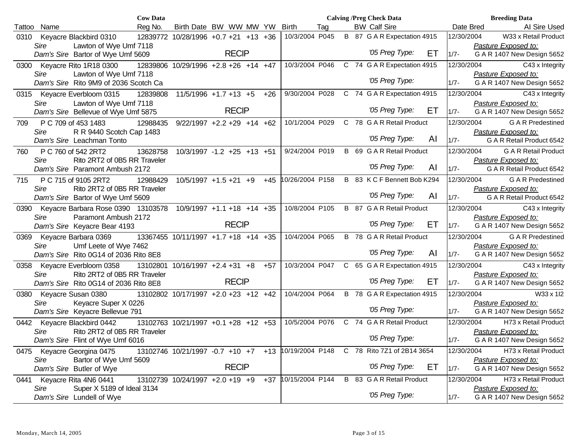|        |      |                                                     | <b>Cow Data</b> |                                      |              |       |                 |     |  | <b>Calving /Preg Check Data</b>  |     |            | <b>Breeding Data</b>                              |
|--------|------|-----------------------------------------------------|-----------------|--------------------------------------|--------------|-------|-----------------|-----|--|----------------------------------|-----|------------|---------------------------------------------------|
| Tattoo | Name |                                                     | Reg No.         | Birth Date BW WW MW YW               |              |       | <b>Birth</b>    | Tag |  | <b>BW Calf Sire</b>              |     | Date Bred  | AI Sire Used                                      |
| 0310   |      | Keyacre Blackbird 0310                              |                 | 12839772 10/28/1996 +0.7 +21 +13 +36 |              |       | 10/3/2004 P045  |     |  | B 87 G A R Expectation 4915      |     | 12/30/2004 | W33 x Retail Product                              |
|        | Sire | Lawton of Wye Umf 7118                              |                 |                                      |              |       |                 |     |  |                                  |     |            | Pasture Exposed to:                               |
|        |      | Dam's Sire Bartor of Wye Umf 5609                   |                 |                                      | <b>RECIP</b> |       |                 |     |  | '05 Preg Type:                   | ЕT  | $1/7 -$    | G A R 1407 New Design 5652                        |
|        |      | 0300 Keyacre Rito 1R18 0300                         |                 | 12839806 10/29/1996 +2.8 +26 +14 +47 |              |       | 10/3/2004 P046  |     |  | C 74 G A R Expectation 4915      |     | 12/30/2004 | C43 x Integrity                                   |
|        | Sire | Lawton of Wye Umf 7118                              |                 |                                      |              |       |                 |     |  |                                  |     |            | Pasture Exposed to:                               |
|        |      | Dam's Sire Rito 9M9 of 2036 Scotch Ca               |                 |                                      |              |       |                 |     |  | '05 Preg Type:                   |     | $1/7 -$    | G A R 1407 New Design 5652                        |
|        |      | 0315 Keyacre Everbloom 0315                         | 12839808        | $11/5/1996$ +1.7 +13 +5              |              | $+26$ | 9/30/2004 P028  |     |  | C 74 G A R Expectation 4915      |     | 12/30/2004 | C43 x Integrity                                   |
|        | Sire | Lawton of Wye Umf 7118                              |                 |                                      |              |       |                 |     |  |                                  |     |            | Pasture Exposed to:                               |
|        |      | Dam's Sire Bellevue of Wye Umf 5875                 |                 |                                      | <b>RECIP</b> |       |                 |     |  | '05 Preg Type:                   | EТ  | $1/7 -$    | G A R 1407 New Design 5652                        |
| 709    |      | P C 709 of 453 1483                                 | 12988435        | $9/22/1997 +2.2 +29 +14 +62$         |              |       | 10/1/2004 P029  |     |  | C 78 G A R Retail Product        |     | 12/30/2004 | <b>GAR</b> Predestined                            |
|        | Sire | R R 9440 Scotch Cap 1483                            |                 |                                      |              |       |                 |     |  |                                  |     |            | Pasture Exposed to:                               |
|        |      | Dam's Sire Leachman Tonto                           |                 |                                      |              |       |                 |     |  | '05 Preg Type:                   | AI  | $1/7 -$    | G A R Retail Product 6542                         |
| 760    |      | P C 760 of 542 2RT2                                 | 13628758        | $10/3/1997 - 1.2 + 25 + 13 + 51$     |              |       | 9/24/2004 P019  |     |  | B 69 G A R Retail Product        |     | 12/30/2004 | <b>G A R Retail Product</b>                       |
|        | Sire | Rito 2RT2 of 0B5 RR Traveler                        |                 |                                      |              |       |                 |     |  |                                  |     |            | Pasture Exposed to:                               |
|        |      | Dam's Sire Paramont Ambush 2172                     |                 |                                      |              |       |                 |     |  | '05 Preg Type:                   | AI  | $1/7 -$    | G A R Retail Product 6542                         |
| 715    |      | P C 715 of 9105 2RT2                                | 12988429        | $10/5/1997 + 1.5 + 21 + 9$           |              | $+45$ | 10/26/2004 P158 |     |  | B 83 K C F Bennett Bob K294      |     | 12/30/2004 | <b>G A R Predestined</b>                          |
|        | Sire | Rito 2RT2 of 0B5 RR Traveler                        |                 |                                      |              |       |                 |     |  |                                  |     |            | Pasture Exposed to:                               |
|        |      | Dam's Sire Bartor of Wye Umf 5609                   |                 |                                      |              |       |                 |     |  | '05 Preg Type:                   | AI  | $1/7 -$    | G A R Retail Product 6542                         |
| 0390   |      | Keyacre Barbara Rose 0390 13103578                  |                 | $10/9/1997 + 1.1 + 18 + 14 + 35$     |              |       | 10/8/2004 P105  |     |  | <b>B</b> 87 G A R Retail Product |     | 12/30/2004 | C43 x Integrity                                   |
|        | Sire | Paramont Ambush 2172                                |                 |                                      |              |       |                 |     |  |                                  |     |            | Pasture Exposed to:                               |
|        |      | Dam's Sire Keyacre Bear 4193                        |                 |                                      | <b>RECIP</b> |       |                 |     |  | '05 Preg Type:                   | ET  | $1/7 -$    | G A R 1407 New Design 5652                        |
|        |      | 0369 Keyacre Barbara 0369                           |                 | 13367455 10/11/1997 +1.7 +18 +14 +35 |              |       | 10/4/2004 P065  |     |  | <b>B</b> 78 G A R Retail Product |     | 12/30/2004 | <b>GAR</b> Predestined                            |
|        | Sire | Umf Leete of Wye 7462                               |                 |                                      |              |       |                 |     |  | '05 Preg Type:                   |     |            | Pasture Exposed to:                               |
|        |      | Dam's Sire Rito 0G14 of 2036 Rito 8E8               |                 |                                      |              |       |                 |     |  |                                  | AI  | $1/7 -$    | G A R 1407 New Design 5652                        |
| 0358   |      | Keyacre Everbloom 0358                              |                 | 13102801 10/16/1997 +2.4 +31 +8      |              | $+57$ | 10/3/2004 P047  |     |  | C 65 G A R Expectation 4915      |     | 12/30/2004 | C43 x Integrity                                   |
|        | Sire | Rito 2RT2 of 0B5 RR Traveler                        |                 |                                      | <b>RECIP</b> |       |                 |     |  | '05 Preg Type:                   | EТ  |            | Pasture Exposed to:                               |
|        |      | Dam's Sire Rito 0G14 of 2036 Rito 8E8               |                 |                                      |              |       |                 |     |  |                                  |     | $1/7 -$    | G A R 1407 New Design 5652                        |
| 0380   |      | Keyacre Susan 0380                                  |                 | 13102802 10/17/1997 +2.0 +23 +12 +42 |              |       | 10/4/2004 P064  |     |  | B 78 G A R Expectation 4915      |     | 12/30/2004 | W33 x 1l2                                         |
|        | Sire | Keyacre Super X 0226                                |                 |                                      |              |       |                 |     |  | '05 Preg Type:                   |     | $1/7 -$    | Pasture Exposed to:<br>G A R 1407 New Design 5652 |
|        |      | Dam's Sire Keyacre Bellevue 791                     |                 |                                      |              |       |                 |     |  |                                  |     |            |                                                   |
| 0442   |      | Keyacre Blackbird 0442                              |                 | 13102763 10/21/1997 +0.1 +28 +12 +53 |              |       | 10/5/2004 P076  |     |  | C 74 G A R Retail Product        |     | 12/30/2004 | H73 x Retail Product                              |
|        | Sire | Rito 2RT2 of 0B5 RR Traveler                        |                 |                                      |              |       |                 |     |  | '05 Preg Type:                   |     | $1/7 -$    | Pasture Exposed to:                               |
|        |      | Dam's Sire Flint of Wye Umf 6016                    |                 |                                      |              |       |                 |     |  |                                  |     |            | G A R 1407 New Design 5652                        |
| 0475   |      | Keyacre Georgina 0475                               |                 | 13102746 10/21/1997 -0.7 +10 +7      |              | $+13$ | 10/19/2004 P148 |     |  | C 78 Rito 7Z1 of 2B14 3654       |     | 12/30/2004 | H73 x Retail Product                              |
|        | Sire | Bartor of Wye Umf 5609<br>Dam's Sire Butler of Wye  |                 |                                      | <b>RECIP</b> |       |                 |     |  | '05 Preg Type:                   | ET. | $1/7 -$    | Pasture Exposed to:<br>G A R 1407 New Design 5652 |
|        |      |                                                     |                 |                                      |              |       |                 |     |  |                                  |     |            |                                                   |
| 0441   |      | Keyacre Rita 4N6 0441<br>Super X 5189 of Ideal 3134 |                 | 13102739 10/24/1997 +2.0 +19 +9      |              | +37   | 10/15/2004 P144 |     |  | B 83 G A R Retail Product        |     | 12/30/2004 | H73 x Retail Product<br>Pasture Exposed to:       |
|        | Sire | Dam's Sire Lundell of Wye                           |                 |                                      |              |       |                 |     |  | '05 Preg Type:                   |     | $1/7 -$    | G A R 1407 New Design 5652                        |
|        |      |                                                     |                 |                                      |              |       |                 |     |  |                                  |     |            |                                                   |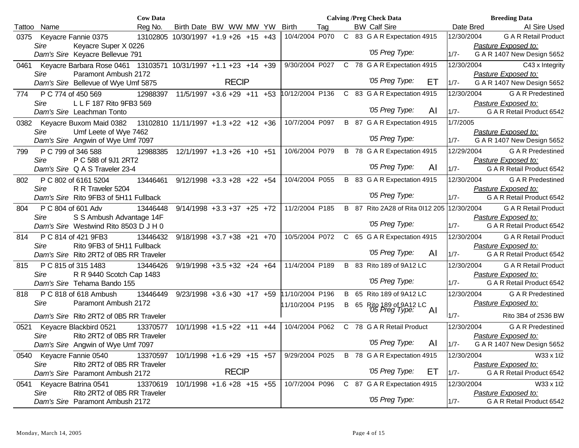|        |                                                                      | <b>Cow Data</b> |                                      |                                  |       |                     |     |   | <b>Calving /Preg Check Data</b>            |    |            | <b>Breeding Data</b>        |
|--------|----------------------------------------------------------------------|-----------------|--------------------------------------|----------------------------------|-------|---------------------|-----|---|--------------------------------------------|----|------------|-----------------------------|
| Tattoo | Name                                                                 | Reg No.         | Birth Date BW WW MW YW               |                                  |       | <b>Birth</b>        | Tag |   | <b>BW Calf Sire</b>                        |    | Date Bred  | Al Sire Used                |
| 0375   | Keyacre Fannie 0375                                                  |                 | 13102805 10/30/1997 +1.9 +26 +15 +43 |                                  |       | 10/4/2004 P070      |     |   | C 83 G A R Expectation 4915                |    | 12/30/2004 | <b>G A R Retail Product</b> |
|        | Sire<br>Keyacre Super X 0226                                         |                 |                                      |                                  |       |                     |     |   |                                            |    |            | Pasture Exposed to:         |
|        | Dam's Sire Keyacre Bellevue 791                                      |                 |                                      |                                  |       |                     |     |   | '05 Preg Type:                             |    | $1/7 -$    | G A R 1407 New Design 5652  |
| 0461   | Keyacre Barbara Rose 0461  13103571  10/31/1997  +1.1  +23  +14  +39 |                 |                                      |                                  |       | 9/30/2004 P027      |     |   | C 78 G A R Expectation 4915                |    | 12/30/2004 | C43 x Integrity             |
|        | Paramont Ambush 2172<br>Sire                                         |                 |                                      |                                  |       |                     |     |   |                                            |    |            | Pasture Exposed to:         |
|        | Dam's Sire Bellevue of Wye Umf 5875                                  |                 |                                      | <b>RECIP</b>                     |       |                     |     |   | '05 Preg Type:                             | ET | $1/7 -$    | G A R 1407 New Design 5652  |
| 774    | P C 774 of 450 569                                                   | 12988397        |                                      | $11/5/1997 + 3.6 + 29 + 11$      |       | +53 10/12/2004 P136 |     |   | C 83 G A R Expectation 4915                |    | 12/30/2004 | <b>G A R Predestined</b>    |
|        | L L F 187 Rito 9FB3 569<br><b>Sire</b>                               |                 |                                      |                                  |       |                     |     |   |                                            |    |            | Pasture Exposed to:         |
|        | Dam's Sire Leachman Tonto                                            |                 |                                      |                                  |       |                     |     |   | '05 Preg Type:                             | AI | $1/7 -$    | G A R Retail Product 6542   |
|        |                                                                      |                 |                                      |                                  |       |                     |     |   |                                            |    |            |                             |
|        | 0382 Keyacre Buxom Maid 0382                                         |                 | 13102810 11/11/1997 +1.3 +22 +12 +36 |                                  |       | 10/7/2004 P097      |     |   | B 87 G A R Expectation 4915                |    | 1/7/2005   |                             |
|        | Sire<br>Umf Leete of Wye 7462                                        |                 |                                      |                                  |       |                     |     |   | '05 Preg Type:                             |    |            | Pasture Exposed to:         |
|        | Dam's Sire Angwin of Wye Umf 7097                                    |                 |                                      |                                  |       |                     |     |   |                                            |    | $1/7 -$    | G A R 1407 New Design 5652  |
| 799    | P C 799 of 346 588                                                   | 12988385        |                                      | 12/1/1997 +1.3 +26 +10 +51       |       | 10/6/2004 P079      |     |   | B 78 G A R Expectation 4915                |    | 12/29/2004 | <b>G A R Predestined</b>    |
|        | P C 588 of 9J1 2RT2<br><b>Sire</b>                                   |                 |                                      |                                  |       |                     |     |   |                                            |    |            | Pasture Exposed to:         |
|        | Dam's Sire Q A S Traveler 23-4                                       |                 |                                      |                                  |       |                     |     |   | '05 Preg Type:                             | AI | $1/7 -$    | G A R Retail Product 6542   |
| 802    | P C 802 of 6161 5204                                                 |                 | 13446461 9/12/1998 +3.3 +28 +22 +54  |                                  |       | 10/4/2004 P055      |     |   | B 83 G A R Expectation 4915                |    | 12/30/2004 | <b>G A R Predestined</b>    |
|        | R R Traveler 5204<br>Sire                                            |                 |                                      |                                  |       |                     |     |   |                                            |    |            | Pasture Exposed to:         |
|        | Dam's Sire Rito 9FB3 of 5H11 Fullback                                |                 |                                      |                                  |       |                     |     |   | '05 Preg Type:                             |    | $1/7 -$    | G A R Retail Product 6542   |
| 804    | P C 804 of 601 Adv                                                   | 13446448        |                                      | $9/14/1998$ +3.3 +37 +25 +72     |       | 11/2/2004 P185      |     |   | B 87 Rito 2A28 of Rita 0112 205 12/30/2004 |    |            | <b>G A R Retail Product</b> |
|        | S S Ambush Advantage 14F<br>Sire                                     |                 |                                      |                                  |       |                     |     |   |                                            |    |            | Pasture Exposed to:         |
|        | Dam's Sire Westwind Rito 8503 D J H 0                                |                 |                                      |                                  |       |                     |     |   | '05 Preg Type:                             |    | $1/7 -$    | G A R Retail Product 6542   |
| 814    | P C 814 of 421 9FB3                                                  | 13446432        |                                      | $9/18/1998$ +3.7 +38 +21         | $+70$ | 10/5/2004 P072      |     |   | C 65 G A R Expectation 4915                |    | 12/30/2004 | <b>G A R Retail Product</b> |
|        | Rito 9FB3 of 5H11 Fullback<br>Sire                                   |                 |                                      |                                  |       |                     |     |   |                                            |    |            | Pasture Exposed to:         |
|        | Dam's Sire Rito 2RT2 of 0B5 RR Traveler                              |                 |                                      |                                  |       |                     |     |   | '05 Preg Type:                             | AI | $1/7 -$    | G A R Retail Product 6542   |
| 815    | P C 815 of 315 1483                                                  | 13446426        |                                      | $9/19/1998 + 3.5 + 32 + 24 + 64$ |       | 11/4/2004 P189      |     |   | B 83 Rito 189 of 9A12 LC                   |    | 12/30/2004 | <b>G A R Retail Product</b> |
|        | R R 9440 Scotch Cap 1483<br>Sire                                     |                 |                                      |                                  |       |                     |     |   |                                            |    |            | Pasture Exposed to:         |
|        | Dam's Sire Tehama Bando 155                                          |                 |                                      |                                  |       |                     |     |   | '05 Preg Type:                             |    | $1/7 -$    | G A R Retail Product 6542   |
|        |                                                                      | 13446449        |                                      |                                  |       | 11/10/2004 P196     |     |   | B 65 Rito 189 of 9A12 LC                   |    | 12/30/2004 | <b>G A R Predestined</b>    |
| 818    | P C 818 of 618 Ambush                                                |                 |                                      | $9/23/1998$ +3.6 +30 +17 +59     |       |                     |     |   |                                            |    |            |                             |
|        | Sire<br>Paramont Ambush 2172                                         |                 |                                      |                                  |       | 11/10/2004 P195     |     | B | 65 Rito 189 of 9A12 LC<br>05 Preg Type:    | Al |            | Pasture Exposed to:         |
|        | Dam's Sire Rito 2RT2 of 0B5 RR Traveler                              |                 |                                      |                                  |       |                     |     |   |                                            |    | $1/7 -$    | Rito 3B4 of 2536 BW         |
| 0521   | Keyacre Blackbird 0521                                               | 13370577        |                                      | $10/1/1998 + 1.5 + 22 + 11 + 44$ |       | 10/4/2004 P062      |     |   | C 78 G A R Retail Product                  |    | 12/30/2004 | <b>GAR</b> Predestined      |
|        | Rito 2RT2 of 0B5 RR Traveler<br>Sire                                 |                 |                                      |                                  |       |                     |     |   |                                            |    |            | Pasture Exposed to:         |
|        | Dam's Sire Angwin of Wye Umf 7097                                    |                 |                                      |                                  |       |                     |     |   | '05 Preg Type:                             | AI | $1/7 -$    | G A R 1407 New Design 5652  |
| 0540   | Keyacre Fannie 0540                                                  | 13370597        |                                      | $10/1/1998 + 1.6 + 29 + 15 + 57$ |       | 9/29/2004 P025      |     |   | B 78 G A R Expectation 4915                |    | 12/30/2004 | W33 x 1I2                   |
|        | Sire<br>Rito 2RT2 of 0B5 RR Traveler                                 |                 |                                      |                                  |       |                     |     |   |                                            |    |            | Pasture Exposed to:         |
|        | Dam's Sire Paramont Ambush 2172                                      |                 |                                      | <b>RECIP</b>                     |       |                     |     |   | '05 Preg Type:                             | ET | $1/7 -$    | G A R Retail Product 6542   |
| 0541   | Keyacre Batrina 0541                                                 | 13370619        |                                      | $10/1/1998$ +1.6 +28 +15 +55     |       | 10/7/2004 P096      |     |   | C 87 G A R Expectation 4915                |    | 12/30/2004 | W33 x 1l2                   |
|        | Rito 2RT2 of 0B5 RR Traveler<br>Sire                                 |                 |                                      |                                  |       |                     |     |   |                                            |    |            | Pasture Exposed to:         |
|        | Dam's Sire Paramont Ambush 2172                                      |                 |                                      |                                  |       |                     |     |   | '05 Preg Type:                             |    | $1/7 -$    | G A R Retail Product 6542   |
|        |                                                                      |                 |                                      |                                  |       |                     |     |   |                                            |    |            |                             |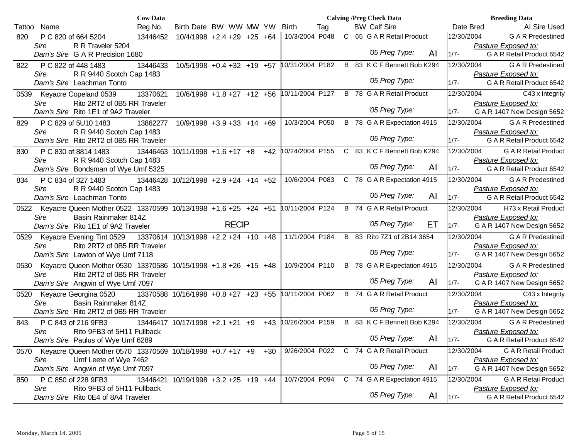|        |                                     | <b>Cow Data</b>                                                     |                                      |                                  |       |                 |     | <b>Calving /Preg Check Data</b> |                                  |     |            | <b>Breeding Data</b>        |
|--------|-------------------------------------|---------------------------------------------------------------------|--------------------------------------|----------------------------------|-------|-----------------|-----|---------------------------------|----------------------------------|-----|------------|-----------------------------|
| Tattoo | Name                                | Reg No.                                                             | Birth Date BW WW MW YW               |                                  |       | <b>Birth</b>    | Tag | <b>BW Calf Sire</b>             |                                  |     | Date Bred  | Al Sire Used                |
| 820    | P C 820 of 664 5204                 | 13446452                                                            | $10/4/1998$ +2.4 +29 +25 +64         |                                  |       | 10/3/2004 P048  |     |                                 | C 65 G A R Retail Product        |     | 12/30/2004 | <b>GAR</b> Predestined      |
|        | Sire                                | R R Traveler 5204                                                   |                                      |                                  |       |                 |     |                                 |                                  |     |            | Pasture Exposed to:         |
|        | Dam's Sire G A R Precision 1680     |                                                                     |                                      |                                  |       |                 |     |                                 | '05 Preg Type:                   | AI  | $1/7 -$    | G A R Retail Product 6542   |
| 822    | P C 822 of 448 1483                 | 13446433                                                            | $10/5/1998$ +0.4 +32 +19 +57         |                                  |       | 10/31/2004 P182 |     |                                 | B 83 K C F Bennett Bob K294      |     | 12/30/2004 | <b>GAR</b> Predestined      |
|        | Sire                                | R R 9440 Scotch Cap 1483                                            |                                      |                                  |       |                 |     |                                 |                                  |     |            | Pasture Exposed to:         |
|        | Dam's Sire Leachman Tonto           |                                                                     |                                      |                                  |       |                 |     |                                 | '05 Preg Type:                   |     | $1/7 -$    | G A R Retail Product 6542   |
| 0539   | Keyacre Copeland 0539               | 13370621                                                            | $10/6/1998 + 1.8 + 27 + 12 + 56$     |                                  |       | 10/11/2004 P127 |     |                                 | <b>B</b> 78 G A R Retail Product |     | 12/30/2004 | C43 x Integrity             |
|        | Sire                                | Rito 2RT2 of 0B5 RR Traveler                                        |                                      |                                  |       |                 |     |                                 |                                  |     |            | Pasture Exposed to:         |
|        | Dam's Sire Rito 1E1 of 9A2 Traveler |                                                                     |                                      |                                  |       |                 |     |                                 | '05 Preg Type:                   |     | $1/7 -$    | G A R 1407 New Design 5652  |
| 829    | P C 829 of 5U10 1483                | 13862277                                                            |                                      | $10/9/1998 + 3.9 + 33 + 14 + 69$ |       | 10/3/2004 P050  |     |                                 | B 78 G A R Expectation 4915      |     | 12/30/2004 | <b>GAR</b> Predestined      |
|        | Sire                                | R R 9440 Scotch Cap 1483                                            |                                      |                                  |       |                 |     |                                 |                                  |     |            | Pasture Exposed to:         |
|        |                                     | Dam's Sire Rito 2RT2 of 0B5 RR Traveler                             |                                      |                                  |       |                 |     |                                 | '05 Preg Type:                   |     | $1/7 -$    | G A R Retail Product 6542   |
| 830    | P C 830 of 8814 1483                |                                                                     | 13446463 10/11/1998 +1.6 +17 +8      |                                  | +42   | 10/24/2004 P155 |     |                                 | C 83 K C F Bennett Bob K294      |     | 12/30/2004 | <b>G A R Retail Product</b> |
|        | Sire                                | R R 9440 Scotch Cap 1483                                            |                                      |                                  |       |                 |     |                                 |                                  |     |            | Pasture Exposed to:         |
|        |                                     | Dam's Sire Bondsman of Wye Umf 5325                                 |                                      |                                  |       |                 |     |                                 | '05 Preg Type:                   | AI  | $1/7 -$    | G A R Retail Product 6542   |
| 834    | P C 834 of 327 1483                 |                                                                     | 13446428 10/12/1998 +2.9 +24 +14 +52 |                                  |       | 10/6/2004 P083  |     |                                 | C 78 G A R Expectation 4915      |     | 12/30/2004 | <b>GAR</b> Predestined      |
|        | Sire                                | R R 9440 Scotch Cap 1483                                            |                                      |                                  |       |                 |     |                                 |                                  |     |            | Pasture Exposed to:         |
|        | Dam's Sire Leachman Tonto           |                                                                     |                                      |                                  |       |                 |     |                                 | '05 Preg Type:                   | AI  | $1/7 -$    | G A R Retail Product 6542   |
| 0522   |                                     | Keyacre Queen Mother 0522 13370599 10/13/1998 +1.6 +25 +24 +51      |                                      |                                  |       | 10/11/2004 P124 |     |                                 | B 74 G A R Retail Product        |     | 12/30/2004 | H73 x Retail Product        |
|        | Sire                                | Basin Rainmaker 814Z                                                |                                      |                                  |       |                 |     |                                 |                                  |     |            | Pasture Exposed to:         |
|        | Dam's Sire Rito 1E1 of 9A2 Traveler |                                                                     |                                      | <b>RECIP</b>                     |       |                 |     |                                 | '05 Preg Type:                   | ET. | $1/7 -$    | G A R 1407 New Design 5652  |
|        |                                     | 0529 Keyacre Evening Tint 0529 13370614 10/13/1998 +2.2 +24 +10 +48 |                                      |                                  |       | 11/1/2004 P184  |     |                                 | B 83 Rito 7Z1 of 2B14 3654       |     | 12/30/2004 | <b>GAR</b> Predestined      |
|        | Sire                                | Rito 2RT2 of 0B5 RR Traveler                                        |                                      |                                  |       |                 |     |                                 |                                  |     |            | Pasture Exposed to:         |
|        |                                     | Dam's Sire Lawton of Wye Umf 7118                                   |                                      |                                  |       |                 |     |                                 | '05 Preg Type:                   |     | $1/7 -$    | G A R 1407 New Design 5652  |
| 0530   |                                     | Keyacre Queen Mother 0530 13370586 10/15/1998 +1.8 +26 +15 +48      |                                      |                                  |       | 10/9/2004 P110  |     |                                 | B 78 G A R Expectation 4915      |     | 12/30/2004 | <b>GAR</b> Predestined      |
|        | Sire                                | Rito 2RT2 of 0B5 RR Traveler                                        |                                      |                                  |       |                 |     |                                 |                                  |     |            | Pasture Exposed to:         |
|        |                                     | Dam's Sire Angwin of Wye Umf 7097                                   |                                      |                                  |       |                 |     |                                 | '05 Preg Type:                   | AI  | $1/7 -$    | G A R 1407 New Design 5652  |
| 0520   | Keyacre Georgina 0520               |                                                                     | 13370588 10/16/1998 +0.8 +27 +23 +55 |                                  |       | 10/11/2004 P062 |     |                                 | <b>B</b> 74 G A R Retail Product |     | 12/30/2004 | C43 x Integrity             |
|        | Sire                                | Basin Rainmaker 814Z                                                |                                      |                                  |       |                 |     |                                 |                                  |     |            | Pasture Exposed to:         |
|        |                                     | Dam's Sire Rito 2RT2 of 0B5 RR Traveler                             |                                      |                                  |       |                 |     |                                 | '05 Preg Type:                   |     | $1/7 -$    | G A R 1407 New Design 5652  |
| 843    | P C 843 of 216 9FB3                 |                                                                     | 13446417 10/17/1998 +2.1 +21 +9      |                                  | $+43$ | 10/26/2004 P159 |     |                                 | B 83 K C F Bennett Bob K294      |     | 12/30/2004 | <b>G A R Predestined</b>    |
|        | Sire                                | Rito 9FB3 of 5H11 Fullback                                          |                                      |                                  |       |                 |     |                                 |                                  |     |            | Pasture Exposed to:         |
|        | Dam's Sire Paulus of Wye Umf 6289   |                                                                     |                                      |                                  |       |                 |     |                                 | '05 Preg Type:                   | AI  | $1/7 -$    | G A R Retail Product 6542   |
| 0570   |                                     | Keyacre Queen Mother 0570 13370569 10/18/1998 +0.7 +17 +9 +30       |                                      |                                  |       | 9/26/2004 P022  |     |                                 | C 74 G A R Retail Product        |     | 12/30/2004 | <b>G A R Retail Product</b> |
|        | Sire                                | Umf Leete of Wye 7462                                               |                                      |                                  |       |                 |     |                                 |                                  |     |            | Pasture Exposed to:         |
|        |                                     | Dam's Sire Angwin of Wye Umf 7097                                   |                                      |                                  |       |                 |     |                                 | '05 Preg Type:                   | AI  | $1/7 -$    | G A R 1407 New Design 5652  |
| 850    | P C 850 of 228 9FB3                 | 13446421                                                            | $10/19/1998 + 3.2 + 25 + 19 + 44$    |                                  |       | 10/7/2004 P094  |     |                                 | C 74 G A R Expectation 4915      |     | 12/30/2004 | <b>G A R Retail Product</b> |
|        | Sire                                | Rito 9FB3 of 5H11 Fullback                                          |                                      |                                  |       |                 |     |                                 |                                  |     |            | Pasture Exposed to:         |
|        | Dam's Sire Rito 0E4 of 8A4 Traveler |                                                                     |                                      |                                  |       |                 |     |                                 | '05 Preg Type:                   | AI  | $1/7 -$    | G A R Retail Product 6542   |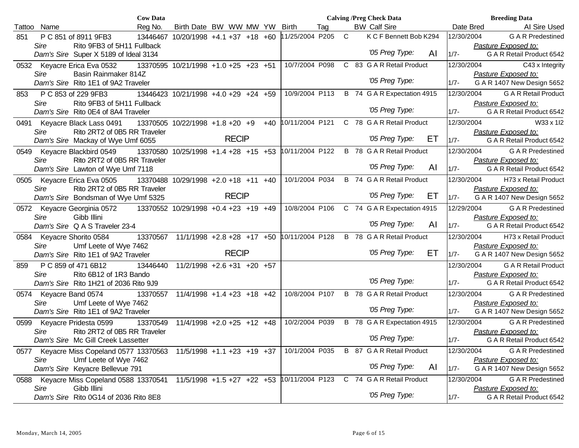|        |                        |                                       | <b>Cow Data</b> |                                      |              |       |                 |     |             | <b>Calving /Preg Check Data</b>           |    |            | <b>Breeding Data</b>       |                             |
|--------|------------------------|---------------------------------------|-----------------|--------------------------------------|--------------|-------|-----------------|-----|-------------|-------------------------------------------|----|------------|----------------------------|-----------------------------|
| Tattoo | Name                   |                                       | Reg No.         | Birth Date BW WW MW YW               |              |       | <b>Birth</b>    | Tag |             | <b>BW Calf Sire</b>                       |    | Date Bred  |                            | AI Sire Used                |
| 851    |                        | P C 851 of 8911 9FB3                  | 13446467        | $10/20/1998$ +4.1 +37 +18 +60        |              |       | 11/25/2004 P205 |     | $\mathsf C$ | K C F Bennett Bob K294                    |    | 12/30/2004 |                            | <b>G A R Predestined</b>    |
|        | Sire                   | Rito 9FB3 of 5H11 Fullback            |                 |                                      |              |       |                 |     |             |                                           |    |            | Pasture Exposed to:        |                             |
|        |                        | Dam's Sire Super X 5189 of Ideal 3134 |                 |                                      |              |       |                 |     |             | '05 Preg Type:                            | AI | $1/7 -$    |                            | G A R Retail Product 6542   |
|        |                        | 0532 Keyacre Erica Eva 0532           |                 | 13370595 10/21/1998 +1.0 +25 +23 +51 |              |       | 10/7/2004 P098  |     |             | C 83 G A R Retail Product                 |    | 12/30/2004 |                            | C43 x Integrity             |
|        | Sire                   | Basin Rainmaker 814Z                  |                 |                                      |              |       |                 |     |             |                                           |    |            | Pasture Exposed to:        |                             |
|        |                        | Dam's Sire Rito 1E1 of 9A2 Traveler   |                 |                                      |              |       |                 |     |             | '05 Preg Type:                            |    | $1/7 -$    | G A R 1407 New Design 5652 |                             |
| 853    |                        | P C 853 of 229 9FB3                   |                 | 13446423 10/21/1998 +4.0 +29 +24 +59 |              |       | 10/9/2004 P113  |     |             | B 74 G A R Expectation 4915               |    | 12/30/2004 |                            | <b>G A R Retail Product</b> |
|        | Sire                   | Rito 9FB3 of 5H11 Fullback            |                 |                                      |              |       |                 |     |             |                                           |    |            | Pasture Exposed to:        |                             |
|        |                        | Dam's Sire Rito 0E4 of 8A4 Traveler   |                 |                                      |              |       |                 |     |             | '05 Preg Type:                            |    | $1/7 -$    |                            | G A R Retail Product 6542   |
|        |                        | 0491 Keyacre Black Lass 0491          |                 | 13370505 10/22/1998 +1.8 +20 +9      |              | $+40$ | 10/11/2004 P121 |     |             | C 78 G A R Retail Product                 |    | 12/30/2004 |                            | W33 x 1l2                   |
|        | Sire                   | Rito 2RT2 of 0B5 RR Traveler          |                 |                                      |              |       |                 |     |             |                                           |    |            | Pasture Exposed to:        |                             |
|        |                        | Dam's Sire Mackay of Wye Umf 6055     |                 |                                      | <b>RECIP</b> |       |                 |     |             | '05 Preg Type:                            | ET | $1/7 -$    |                            | G A R Retail Product 6542   |
| 0549   |                        | Keyacre Blackbird 0549                |                 | 13370580 10/25/1998 +1.4 +28 +15 +53 |              |       |                 |     |             | 10/11/2004 P122 B 78 G A R Retail Product |    | 12/30/2004 |                            | <b>G A R Predestined</b>    |
|        | Sire                   | Rito 2RT2 of 0B5 RR Traveler          |                 |                                      |              |       |                 |     |             |                                           |    |            | Pasture Exposed to:        |                             |
|        |                        | Dam's Sire Lawton of Wye Umf 7118     |                 |                                      |              |       |                 |     |             | '05 Preg Type:                            | AI | $1/7 -$    |                            | G A R Retail Product 6542   |
| 0505   |                        | Keyacre Erica Eva 0505                |                 | 13370488 10/29/1998 +2.0 +18 +11 +40 |              |       | 10/1/2004 P034  |     |             | <b>B</b> 74 G A R Retail Product          |    | 12/30/2004 |                            | H73 x Retail Product        |
|        | Sire                   | Rito 2RT2 of 0B5 RR Traveler          |                 |                                      |              |       |                 |     |             |                                           |    |            | Pasture Exposed to:        |                             |
|        |                        | Dam's Sire Bondsman of Wye Umf 5325   |                 |                                      | <b>RECIP</b> |       |                 |     |             | '05 Preg Type:                            | ET | $1/7 -$    | G A R 1407 New Design 5652 |                             |
|        |                        | 0572 Keyacre Georginia 0572           |                 | 13370552 10/29/1998 +0.4 +23 +19 +49 |              |       | 10/8/2004 P106  |     |             | C 74 G A R Expectation 4915               |    | 12/29/2004 |                            | <b>GAR</b> Predestined      |
|        | Sire                   | Gibb Illini                           |                 |                                      |              |       |                 |     |             |                                           |    |            | Pasture Exposed to:        |                             |
|        |                        | Dam's Sire Q A S Traveler 23-4        |                 |                                      |              |       |                 |     |             | '05 Preg Type:                            | AI | $1/7 -$    |                            | G A R Retail Product 6542   |
|        |                        | 0584 Keyacre Shorito 0584             |                 | 13370567 11/1/1998 +2.8 +28 +17 +50  |              |       | 10/11/2004 P128 |     |             | B 78 G A R Retail Product                 |    | 12/30/2004 |                            | H73 x Retail Product        |
|        | Sire                   | Umf Leete of Wye 7462                 |                 |                                      |              |       |                 |     |             |                                           |    |            | Pasture Exposed to:        |                             |
|        |                        | Dam's Sire Rito 1E1 of 9A2 Traveler   |                 |                                      | <b>RECIP</b> |       |                 |     |             | '05 Preg Type:                            | ET | $1/7 -$    | G A R 1407 New Design 5652 |                             |
| 859    |                        | P C 859 of 471 6B12                   | 13446440        | $11/2/1998$ +2.6 +31 +20 +57         |              |       |                 |     |             |                                           |    | 12/30/2004 |                            | <b>G A R Retail Product</b> |
|        | Sire                   | Rito 6B12 of 1R3 Bando                |                 |                                      |              |       |                 |     |             |                                           |    |            | Pasture Exposed to:        |                             |
|        |                        | Dam's Sire Rito 1H21 of 2036 Rito 9J9 |                 |                                      |              |       |                 |     |             | '05 Preg Type:                            |    | $1/7 -$    |                            | G A R Retail Product 6542   |
|        | 0574 Keyacre Band 0574 |                                       | 13370557        | $11/4/1998 + 1.4 + 23 + 18 + 42$     |              |       | 10/8/2004 P107  |     |             | B 78 G A R Retail Product                 |    | 12/30/2004 |                            | <b>G A R Predestined</b>    |
|        | Sire                   | Umf Leete of Wye 7462                 |                 |                                      |              |       |                 |     |             | '05 Preg Type:                            |    |            | Pasture Exposed to:        |                             |
|        |                        | Dam's Sire Rito 1E1 of 9A2 Traveler   |                 |                                      |              |       |                 |     |             |                                           |    | $1/7 -$    | G A R 1407 New Design 5652 |                             |
| 0599   |                        | Keyacre Pridesta 0599                 | 13370549        | $11/4/1998$ +2.0 +25 +12 +48         |              |       | 10/2/2004 P039  |     |             | B 78 G A R Expectation 4915               |    | 12/30/2004 |                            | <b>G A R Predestined</b>    |
|        | Sire                   | Rito 2RT2 of 0B5 RR Traveler          |                 |                                      |              |       |                 |     |             | '05 Preg Type:                            |    |            | Pasture Exposed to:        |                             |
|        |                        | Dam's Sire Mc Gill Creek Lassetter    |                 |                                      |              |       |                 |     |             |                                           |    | $1/7 -$    |                            | G A R Retail Product 6542   |
| 0577   |                        | Keyacre Miss Copeland 0577 13370563   |                 | $11/5/1998$ +1.1 +23 +19 +37         |              |       | 10/1/2004 P035  |     |             | B 87 G A R Retail Product                 |    | 12/30/2004 |                            | <b>G A R Predestined</b>    |
|        | Sire                   | Umf Leete of Wye 7462                 |                 |                                      |              |       |                 |     |             | '05 Preg Type:                            | AI |            | Pasture Exposed to:        |                             |
|        |                        | Dam's Sire Keyacre Bellevue 791       |                 |                                      |              |       |                 |     |             |                                           |    | $1/7 -$    | G A R 1407 New Design 5652 |                             |
| 0588   |                        | Keyacre Miss Copeland 0588 13370541   |                 | $11/5/1998$ +1.5 +27 +22 +53         |              |       | 10/11/2004 P123 |     |             | C 74 G A R Retail Product                 |    | 12/30/2004 |                            | <b>GAR</b> Predestined      |
|        | Sire                   | Gibb Illini                           |                 |                                      |              |       |                 |     |             | '05 Preg Type:                            |    |            | Pasture Exposed to:        |                             |
|        |                        | Dam's Sire Rito 0G14 of 2036 Rito 8E8 |                 |                                      |              |       |                 |     |             |                                           |    | $1/7 -$    |                            | G A R Retail Product 6542   |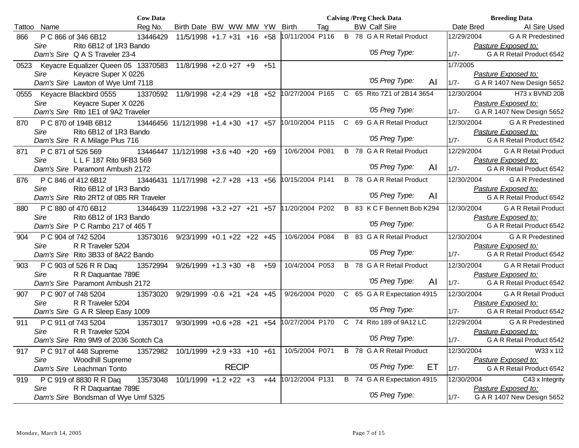|        |                                                           | <b>Cow Data</b> |                                                      |              |       |                 |     |   | <b>Calving /Preg Check Data</b>  |    |            | <b>Breeding Data</b>        |
|--------|-----------------------------------------------------------|-----------------|------------------------------------------------------|--------------|-------|-----------------|-----|---|----------------------------------|----|------------|-----------------------------|
| Tattoo | Name                                                      | Reg No.         | Birth Date BW WW MW YW                               |              |       | <b>Birth</b>    | Tag |   | <b>BW Calf Sire</b>              |    | Date Bred  | Al Sire Used                |
| 866    | P C 866 of 346 6B12                                       | 13446429        | $11/5/1998$ +1.7 +31 +16 +58                         |              |       | 10/11/2004 P116 |     |   | <b>B</b> 78 G A R Retail Product |    | 12/29/2004 | <b>GAR</b> Predestined      |
|        | Sire<br>Rito 6B12 of 1R3 Bando                            |                 |                                                      |              |       |                 |     |   |                                  |    |            | Pasture Exposed to:         |
|        | Dam's Sire Q A S Traveler 23-4                            |                 |                                                      |              |       |                 |     |   | '05 Preg Type:                   |    | $1/7 -$    | G A R Retail Product 6542   |
| 0523   | Keyacre Equalizer Queen 05 13370583 11/8/1998 +2.0 +27 +9 |                 |                                                      |              | $+51$ |                 |     |   |                                  |    | 1/7/2005   |                             |
|        | Sire<br>Keyacre Super X 0226                              |                 |                                                      |              |       |                 |     |   |                                  |    |            | Pasture Exposed to:         |
|        | Dam's Sire Lawton of Wye Umf 7118                         |                 |                                                      |              |       |                 |     |   | '05 Preg Type:                   | AI | $1/7 -$    | G A R 1407 New Design 5652  |
| 0555   | Keyacre Blackbird 0555                                    |                 | 13370592 11/9/1998 +2.4 +29 +18 +52                  |              |       | 10/27/2004 P165 |     |   | C 65 Rito 7Z1 of 2B14 3654       |    | 12/30/2004 | H73 x BVND 208              |
|        | Keyacre Super X 0226<br>Sire                              |                 |                                                      |              |       |                 |     |   |                                  |    |            | Pasture Exposed to:         |
|        | Dam's Sire Rito 1E1 of 9A2 Traveler                       |                 |                                                      |              |       |                 |     |   | '05 Preg Type:                   |    | $1/7 -$    | G A R 1407 New Design 5652  |
| 870    | P C 870 of 194B 6B12                                      |                 | 13446456 11/12/1998 +1.4 +30 +17 +57 10/10/2004 P115 |              |       |                 |     |   | C 69 G A R Retail Product        |    | 12/30/2004 | <b>GAR</b> Predestined      |
|        | Rito 6B12 of 1R3 Bando<br>Sire                            |                 |                                                      |              |       |                 |     |   |                                  |    |            | Pasture Exposed to:         |
|        | Dam's Sire R A Milage Plus 716                            |                 |                                                      |              |       |                 |     |   | '05 Preg Type:                   |    | $1/7 -$    | G A R Retail Product 6542   |
| 871    | P C 871 of 526 569                                        |                 | 13446447 11/12/1998 +3.6 +40 +20 +69                 |              |       | 10/6/2004 P081  |     |   | <b>B</b> 78 G A R Retail Product |    | 12/29/2004 | <b>G A R Retail Product</b> |
|        | L L F 187 Rito 9FB3 569<br>Sire                           |                 |                                                      |              |       |                 |     |   |                                  |    |            | Pasture Exposed to:         |
|        | Dam's Sire Paramont Ambush 2172                           |                 |                                                      |              |       |                 |     |   | '05 Preg Type:                   | AI | $1/7 -$    | G A R Retail Product 6542   |
| 876    | P C 846 of 412 6B12                                       |                 | 13446431 11/17/1998 +2.7 +28 +13 +56                 |              |       | 10/15/2004 P141 |     |   | <b>B</b> 78 G A R Retail Product |    | 12/30/2004 | <b>GAR</b> Predestined      |
|        | Rito 6B12 of 1R3 Bando<br>Sire                            |                 |                                                      |              |       |                 |     |   |                                  |    |            | Pasture Exposed to:         |
|        | Dam's Sire Rito 2RT2 of 0B5 RR Traveler                   |                 |                                                      |              |       |                 |     |   | '05 Preg Type:                   | AI |            | G A R Retail Product 6542   |
| 880    | P C 880 of 470 6B12                                       |                 | 13446439 11/22/1998 +3.2 +27 +21 +57                 |              |       | 11/20/2004 P202 |     |   | B 83 K C F Bennett Bob K294      |    | 12/30/2004 | <b>G A R Retail Product</b> |
|        | Rito 6B12 of 1R3 Bando<br>Sire                            |                 |                                                      |              |       |                 |     |   |                                  |    |            | Pasture Exposed to:         |
|        | Dam's Sire P C Rambo 217 of 465 T                         |                 |                                                      |              |       |                 |     |   | '05 Preg Type:                   |    |            | G A R Retail Product 6542   |
| 904    | P C 904 of 742 5204                                       |                 | 13573016 9/23/1999 +0.1 +22 +22 +45                  |              |       | 10/6/2004 P084  |     | B | 83 G A R Retail Product          |    | 12/30/2004 | <b>GAR</b> Predestined      |
|        | <b>Sire</b><br>R R Traveler 5204                          |                 |                                                      |              |       |                 |     |   |                                  |    |            | Pasture Exposed to:         |
|        | Dam's Sire Rito 3B33 of 8A22 Bando                        |                 |                                                      |              |       |                 |     |   | '05 Preg Type:                   |    | $1/7 -$    | G A R Retail Product 6542   |
| 903    | P C 903 of 526 R R Daq                                    | 13572994        | $9/26/1999 + 1.3 + 30 + 8$                           |              | $+59$ | 10/4/2004 P053  |     |   | <b>B</b> 78 G A R Retail Product |    | 12/30/2004 | <b>G A R Retail Product</b> |
|        | R R Daquantae 789E<br>Sire                                |                 |                                                      |              |       |                 |     |   |                                  |    |            | Pasture Exposed to:         |
|        | Dam's Sire Paramont Ambush 2172                           |                 |                                                      |              |       |                 |     |   | '05 Preg Type:                   | AI | $1/7 -$    | G A R Retail Product 6542   |
| 907    | P C 907 of 748 5204                                       | 13573020        | $9/29/1999 - 0.6 + 21 + 24 + 45$                     |              |       | 9/26/2004 P020  |     |   | C 65 G A R Expectation 4915      |    | 12/30/2004 | <b>G A R Retail Product</b> |
|        | R R Traveler 5204<br>Sire                                 |                 |                                                      |              |       |                 |     |   | '05 Preg Type:                   |    |            | Pasture Exposed to:         |
|        | Dam's Sire G A R Sleep Easy 1009                          |                 |                                                      |              |       |                 |     |   |                                  |    | $1/7 -$    | G A R Retail Product 6542   |
| 911    | P C 911 of 743 5204                                       | 13573017        | $9/30/1999 + 0.6 + 28 + 21 + 54$                     |              |       | 10/27/2004 P170 |     |   | C 74 Rito 189 of 9A12 LC         |    | 12/29/2004 | <b>GAR</b> Predestined      |
|        | R R Traveler 5204<br>Sire                                 |                 |                                                      |              |       |                 |     |   | '05 Preg Type:                   |    |            | Pasture Exposed to:         |
|        | Dam's Sire Rito 9M9 of 2036 Scotch Ca                     |                 |                                                      |              |       |                 |     |   |                                  |    | $1/7 -$    | G A R Retail Product 6542   |
| 917    | P C 917 of 448 Supreme                                    | 13572982        | 10/1/1999 +2.9 +33 +10 +61                           |              |       | 10/5/2004 P071  |     |   | <b>B</b> 78 G A R Retail Product |    | 12/30/2004 | W33 x 1l2                   |
|        | <b>Woodhill Supreme</b><br>Sire                           |                 |                                                      | <b>RECIP</b> |       |                 |     |   | '05 Preg Type:                   | ET |            | Pasture Exposed to:         |
|        | Dam's Sire Leachman Tonto                                 |                 |                                                      |              |       |                 |     |   |                                  |    | $1/7 -$    | G A R Retail Product 6542   |
| 919    | P C 919 of 8830 R R Daq                                   | 13573048        | $10/1/1999 + 1.2 + 22 + 3$                           |              | +44   | 10/12/2004 P131 |     |   | B 74 G A R Expectation 4915      |    | 12/30/2004 | C43 x Integrity             |
|        | R R Daquantae 789E<br>Sire                                |                 |                                                      |              |       |                 |     |   | '05 Preg Type:                   |    |            | Pasture Exposed to:         |
|        | Dam's Sire Bondsman of Wye Umf 5325                       |                 |                                                      |              |       |                 |     |   |                                  |    | $1/7 -$    | G A R 1407 New Design 5652  |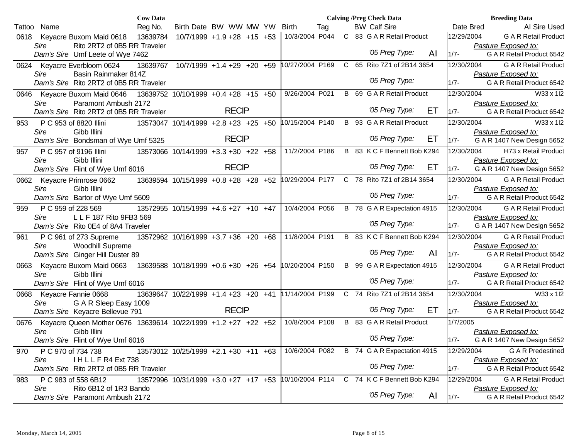|                                                                        | <b>Cow Data</b> |                                      |                                  |  |                                             |  | <b>Calving /Preg Check Data</b> |     |            | <b>Breeding Data</b>        |
|------------------------------------------------------------------------|-----------------|--------------------------------------|----------------------------------|--|---------------------------------------------|--|---------------------------------|-----|------------|-----------------------------|
| Tattoo<br>Name                                                         | Reg No.         |                                      | Birth Date BW WW MW YW           |  | <b>Birth</b><br>Tag                         |  | <b>BW Calf Sire</b>             |     | Date Bred  | Al Sire Used                |
| Keyacre Buxom Maid 0618<br>0618                                        | 13639784        |                                      | $10/7/1999 + 1.9 + 28 + 15 + 53$ |  | 10/3/2004 P044                              |  | C 83 G A R Retail Product       |     | 12/29/2004 | <b>G A R Retail Product</b> |
| Rito 2RT2 of 0B5 RR Traveler<br>Sire                                   |                 |                                      |                                  |  |                                             |  |                                 |     |            | Pasture Exposed to:         |
| Dam's Sire Umf Leete of Wye 7462                                       |                 |                                      |                                  |  |                                             |  | '05 Preg Type:                  | AI  | $1/7 -$    | G A R Retail Product 6542   |
| 0624 Keyacre Everbloom 0624                                            | 13639767        | 10/7/1999 +1.4 +29 +20 +59           |                                  |  | 10/27/2004 P169                             |  | C 65 Rito 7Z1 of 2B14 3654      |     | 12/30/2004 | <b>G A R Retail Product</b> |
| Basin Rainmaker 814Z<br>Sire                                           |                 |                                      |                                  |  |                                             |  |                                 |     |            | Pasture Exposed to:         |
| Dam's Sire Rito 2RT2 of 0B5 RR Traveler                                |                 |                                      |                                  |  |                                             |  | '05 Preg Type:                  |     | $1/7 -$    | G A R Retail Product 6542   |
| Keyacre Buxom Maid 0646 13639752 10/10/1999 +0.4 +28 +15 +50<br>0646   |                 |                                      |                                  |  | 9/26/2004 P021                              |  | B 69 G A R Retail Product       |     | 12/30/2004 | W33 x 1l2                   |
| Paramont Ambush 2172<br>Sire                                           |                 |                                      |                                  |  |                                             |  |                                 |     |            | Pasture Exposed to:         |
| Dam's Sire Rito 2RT2 of 0B5 RR Traveler                                |                 |                                      | <b>RECIP</b>                     |  |                                             |  | '05 Preg Type:                  | ET. | $1/7 -$    | G A R Retail Product 6542   |
| P C 953 of 8820 Illini<br>953                                          |                 | 13573047 10/14/1999 +2.8 +23 +25 +50 |                                  |  | 10/15/2004 P140                             |  | B 93 G A R Retail Product       |     | 12/30/2004 | W33 x 1l2                   |
| Sire<br>Gibb Illini                                                    |                 |                                      |                                  |  |                                             |  |                                 |     |            | Pasture Exposed to:         |
| Dam's Sire Bondsman of Wye Umf 5325                                    |                 |                                      | <b>RECIP</b>                     |  |                                             |  | '05 Preg Type:                  | ET  | $1/7 -$    | G A R 1407 New Design 5652  |
| P C 957 of 9196 Illini<br>957                                          |                 | 13573066 10/14/1999 +3.3 +30 +22 +58 |                                  |  | 11/2/2004 P186                              |  | B 83 K C F Bennett Bob K294     |     | 12/30/2004 | H73 x Retail Product        |
| Gibb Illini<br>Sire                                                    |                 |                                      |                                  |  |                                             |  |                                 |     |            | Pasture Exposed to:         |
| Dam's Sire Flint of Wye Umf 6016                                       |                 |                                      | <b>RECIP</b>                     |  |                                             |  | '05 Preg Type:                  | ET  | $1/7 -$    | G A R 1407 New Design 5652  |
| 0662<br>Keyacre Primrose 0662                                          |                 | 13639594 10/15/1999 +0.8 +28 +28 +52 |                                  |  | 10/29/2004 P177 C 78 Rito 7Z1 of 2B14 3654  |  |                                 |     | 12/30/2004 | <b>G A R Retail Product</b> |
| Sire<br>Gibb Illini                                                    |                 |                                      |                                  |  |                                             |  |                                 |     |            | Pasture Exposed to:         |
| Dam's Sire Bartor of Wye Umf 5609                                      |                 |                                      |                                  |  |                                             |  | '05 Preg Type:                  |     | $1/7 -$    | G A R Retail Product 6542   |
| P C 959 of 228 569<br>959                                              |                 | 13572955 10/15/1999 +4.6 +27 +10 +47 |                                  |  | 10/4/2004 P056                              |  | B 78 G A R Expectation 4915     |     | 12/30/2004 | <b>G A R Retail Product</b> |
| L L F 187 Rito 9FB3 569<br>Sire                                        |                 |                                      |                                  |  |                                             |  |                                 |     |            | Pasture Exposed to:         |
| Dam's Sire Rito 0E4 of 8A4 Traveler                                    |                 |                                      |                                  |  |                                             |  | '05 Preg Type:                  |     | $1/7 -$    | G A R 1407 New Design 5652  |
| P C 961 of 273 Supreme<br>961                                          |                 | 13572962 10/16/1999 +3.7 +36 +20 +68 |                                  |  | 11/8/2004 P191                              |  | B 83 K C F Bennett Bob K294     |     | 12/30/2004 | <b>G A R Retail Product</b> |
| Sire<br>Woodhill Supreme                                               |                 |                                      |                                  |  |                                             |  |                                 |     |            | Pasture Exposed to:         |
| Dam's Sire Ginger Hill Duster 89                                       |                 |                                      |                                  |  |                                             |  | '05 Preg Type:                  | AI  | $1/7 -$    | G A R Retail Product 6542   |
| Keyacre Buxom Maid 0663<br>0663                                        |                 | 13639588 10/18/1999 +0.6 +30 +26 +54 |                                  |  | 10/20/2004 P150                             |  | B 99 G A R Expectation 4915     |     | 12/30/2004 | <b>G A R Retail Product</b> |
| Gibb Illini<br>Sire                                                    |                 |                                      |                                  |  |                                             |  |                                 |     |            | Pasture Exposed to:         |
| Dam's Sire Flint of Wye Umf 6016                                       |                 |                                      |                                  |  |                                             |  | '05 Preg Type:                  |     | $1/7 -$    | G A R Retail Product 6542   |
| Keyacre Fannie 0668<br>0668                                            |                 | 13639647 10/22/1999 +1.4 +23 +20 +41 |                                  |  | 11/14/2004 P199                             |  | C 74 Rito 7Z1 of 2B14 3654      |     | 12/30/2004 | W33 x 1l2                   |
| Sire<br>G A R Sleep Easy 1009                                          |                 |                                      |                                  |  |                                             |  |                                 |     |            | Pasture Exposed to:         |
| Dam's Sire Keyacre Bellevue 791                                        |                 |                                      | <b>RECIP</b>                     |  |                                             |  | '05 Preg Type:                  | ET  | $1/7 -$    | G A R Retail Product 6542   |
| Keyacre Queen Mother 0676 13639614 10/22/1999 +1.2 +27 +22 +52<br>0676 |                 |                                      |                                  |  | 10/8/2004 P108                              |  | B 83 G A R Retail Product       |     | 1/7/2005   |                             |
| Gibb Illini<br>Sire                                                    |                 |                                      |                                  |  |                                             |  |                                 |     |            | Pasture Exposed to:         |
| Dam's Sire Flint of Wye Umf 6016                                       |                 |                                      |                                  |  |                                             |  | '05 Preg Type:                  |     | $1/7 -$    | G A R 1407 New Design 5652  |
| P C 970 of 734 738<br>970                                              |                 | 13573012 10/25/1999 +2.1 +30 +11 +63 |                                  |  | 10/6/2004 P082 B 74 G A R Expectation 4915  |  |                                 |     | 12/29/2004 | <b>GAR</b> Predestined      |
| IHLLFR4 Ext 738<br>Sire                                                |                 |                                      |                                  |  |                                             |  |                                 |     |            | Pasture Exposed to:         |
| Dam's Sire Rito 2RT2 of 0B5 RR Traveler                                |                 |                                      |                                  |  |                                             |  | '05 Preg Type:                  |     | $1/7 -$    | G A R Retail Product 6542   |
| P C 983 of 558 6B12<br>983                                             |                 | 13572996 10/31/1999 +3.0 +27 +17 +53 |                                  |  | 10/10/2004 P114 C 74 K C F Bennett Bob K294 |  |                                 |     | 12/29/2004 | <b>G A R Retail Product</b> |
| Rito 6B12 of 1R3 Bando<br>Sire                                         |                 |                                      |                                  |  |                                             |  |                                 |     |            | Pasture Exposed to:         |
| Dam's Sire Paramont Ambush 2172                                        |                 |                                      |                                  |  |                                             |  | '05 Preg Type:                  | AI  | $1/7 -$    | G A R Retail Product 6542   |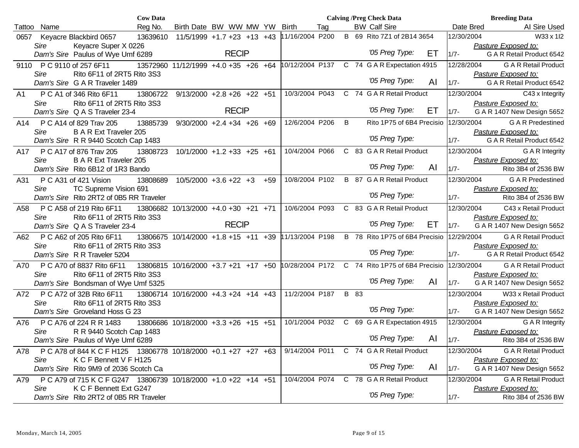|        |                                                                                          | <b>Cow Data</b> |                                                      |                                  |       |                 |     |      | <b>Calving /Preg Check Data</b>        |    |            | <b>Breeding Data</b>                               |
|--------|------------------------------------------------------------------------------------------|-----------------|------------------------------------------------------|----------------------------------|-------|-----------------|-----|------|----------------------------------------|----|------------|----------------------------------------------------|
| Tattoo | Name                                                                                     | Reg No.         | Birth Date BW WW MW YW                               |                                  |       | Birth           | Tag |      | <b>BW Calf Sire</b>                    |    | Date Bred  | Al Sire Used                                       |
| 0657   | Keyacre Blackbird 0657                                                                   | 13639610        | $11/5/1999 + 1.7 + 23 + 13 + 43$                     |                                  |       | 11/16/2004 P200 |     |      | B 69 Rito 7Z1 of 2B14 3654             |    | 12/30/2004 | W33 x 1I2                                          |
|        | Sire<br>Keyacre Super X 0226                                                             |                 |                                                      |                                  |       |                 |     |      |                                        |    |            | Pasture Exposed to:                                |
|        | Dam's Sire Paulus of Wye Umf 6289                                                        |                 |                                                      | <b>RECIP</b>                     |       |                 |     |      | '05 Preg Type:                         | EТ | $1/7 -$    | G A R Retail Product 6542                          |
|        | 9110 PC 9110 of 257 6F11                                                                 |                 | 13572960 11/12/1999 +4.0 +35 +26 +64 10/12/2004 P137 |                                  |       |                 |     |      | C 74 G A R Expectation 4915            |    | 12/28/2004 | <b>G A R Retail Product</b>                        |
|        | Rito 6F11 of 2RT5 Rito 3S3<br>Sire                                                       |                 |                                                      |                                  |       |                 |     |      |                                        |    |            | Pasture Exposed to:                                |
|        | Dam's Sire G A R Traveler 1489                                                           |                 |                                                      |                                  |       |                 |     |      | '05 Preg Type:                         | AI | $1/7 -$    | G A R Retail Product 6542                          |
| A1     | P C A1 of 346 Rito 6F11                                                                  | 13806722        | $9/13/2000 + 2.8 + 26 + 22 + 51$                     |                                  |       | 10/3/2004 P043  |     |      | C 74 G A R Retail Product              |    | 12/30/2004 | C43 x Integrity                                    |
|        | Rito 6F11 of 2RT5 Rito 3S3<br>Sire                                                       |                 |                                                      |                                  |       |                 |     |      |                                        |    |            | Pasture Exposed to:                                |
|        | Dam's Sire Q A S Traveler 23-4                                                           |                 |                                                      | <b>RECIP</b>                     |       |                 |     |      | '05 Preg Type:                         | EТ | $1/7 -$    | G A R 1407 New Design 5652                         |
| A14    | P C A14 of 829 Trav 205                                                                  | 13885739        | $9/30/2000 + 2.4 + 34 + 26 + 69$                     |                                  |       | 12/6/2004 P206  |     | B    | Rito 1P75 of 6B4 Precisio              |    | 12/30/2004 | <b>GAR</b> Predestined                             |
|        | Sire<br><b>B A R Ext Traveler 205</b>                                                    |                 |                                                      |                                  |       |                 |     |      |                                        |    |            | Pasture Exposed to:                                |
|        | Dam's Sire R R 9440 Scotch Cap 1483                                                      |                 |                                                      |                                  |       |                 |     |      | '05 Preg Type:                         |    | $1/7 -$    | G A R Retail Product 6542                          |
| A17    | P C A17 of 876 Trav 205                                                                  | 13808723        |                                                      | $10/1/2000 + 1.2 + 33 + 25 + 61$ |       | 10/4/2004 P066  |     |      | C 83 G A R Retail Product              |    | 12/30/2004 | G A R Integrity                                    |
|        | <b>B A R Ext Traveler 205</b><br>Sire                                                    |                 |                                                      |                                  |       |                 |     |      |                                        |    |            | Pasture Exposed to:                                |
|        | Dam's Sire Rito 6B12 of 1R3 Bando                                                        |                 |                                                      |                                  |       |                 |     |      | '05 Preg Type:                         | AI | $1/7 -$    | Rito 3B4 of 2536 BW                                |
| A31    | P C A31 of 421 Vision                                                                    | 13808689        | $10/5/2000 + 3.6 + 22 + 3$                           |                                  | $+59$ | 10/8/2004 P102  |     |      | <b>B</b> 87 G A R Retail Product       |    | 12/30/2004 | <b>G A R Predestined</b>                           |
|        | Sire<br>TC Supreme Vision 691                                                            |                 |                                                      |                                  |       |                 |     |      |                                        |    |            | Pasture Exposed to:                                |
|        | Dam's Sire Rito 2RT2 of 0B5 RR Traveler                                                  |                 |                                                      |                                  |       |                 |     |      | '05 Preg Type:                         |    | $1/7 -$    | Rito 3B4 of 2536 BW                                |
| A58    | P C A58 of 219 Rito 6F11                                                                 |                 | 13806682 10/13/2000 +4.0 +30 +21 +71                 |                                  |       | 10/6/2004 P093  |     |      | C 83 G A R Retail Product              |    | 12/30/2004 | C43 x Retail Product                               |
|        | Rito 6F11 of 2RT5 Rito 3S3<br>Sire                                                       |                 |                                                      |                                  |       |                 |     |      |                                        |    |            | Pasture Exposed to:                                |
|        | Dam's Sire Q A S Traveler 23-4                                                           |                 |                                                      | <b>RECIP</b>                     |       |                 |     |      | '05 Preg Type:                         | EТ | $1/7 -$    | G A R 1407 New Design 5652                         |
| A62    | P C A62 of 205 Rito 6F11                                                                 |                 | 13806675 10/14/2000 +1.8 +15 +11 +39                 |                                  |       | 11/13/2004 P198 |     |      | B 78 Rito 1P75 of 6B4 Precisio         |    | 12/29/2004 | <b>G A R Retail Product</b>                        |
|        | Sire<br>Rito 6F11 of 2RT5 Rito 3S3                                                       |                 |                                                      |                                  |       |                 |     |      | '05 Preg Type:                         |    |            | Pasture Exposed to:                                |
|        | Dam's Sire R R Traveler 5204                                                             |                 |                                                      |                                  |       |                 |     |      |                                        |    | $1/7 -$    | G A R Retail Product 6542                          |
| A70    | P C A70 of 8837 Rito 6F11                                                                |                 | 13806815 10/16/2000 +3.7 +21 +17 +50                 |                                  |       | 10/28/2004 P172 |     |      | C 74 Rito 1P75 of 6B4 Precisio         |    | 12/30/2004 | <b>G A R Retail Product</b>                        |
|        | Rito 6F11 of 2RT5 Rito 3S3<br>Sire                                                       |                 |                                                      |                                  |       |                 |     |      | '05 Preg Type:                         | AI |            | Pasture Exposed to:                                |
|        | Dam's Sire Bondsman of Wye Umf 5325                                                      |                 |                                                      |                                  |       |                 |     |      |                                        |    | $1/7 -$    | G A R 1407 New Design 5652                         |
| A72    | P C A72 of 32B Rito 6F11                                                                 |                 | 13806714 10/16/2000 +4.3 +24 +14 +43                 |                                  |       | 11/2/2004 P187  |     | B 83 |                                        |    | 12/30/2004 | W33 x Retail Product                               |
|        | Rito 6F11 of 2RT5 Rito 3S3<br>Sire                                                       |                 |                                                      |                                  |       |                 |     |      | '05 Preg Type:                         |    | $1/7 -$    | Pasture Exposed to:<br>G A R 1407 New Design 5652  |
|        | Dam's Sire Groveland Hoss G 23                                                           |                 |                                                      |                                  |       |                 |     |      |                                        |    |            |                                                    |
| A76    | P C A76 of 224 R R 1483                                                                  |                 | 13806686 10/18/2000 +3.3 +26 +15 +51                 |                                  |       | 10/1/2004 P032  |     |      | C 69 G A R Expectation 4915            |    | 12/30/2004 | <b>G A R Integrity</b>                             |
|        | R R 9440 Scotch Cap 1483<br>Sire                                                         |                 |                                                      |                                  |       |                 |     |      | '05 Preg Type:                         | AI | $1/7 -$    | Pasture Exposed to:<br>Rito 3B4 of 2536 BW         |
|        | Dam's Sire Paulus of Wye Umf 6289                                                        |                 |                                                      |                                  |       |                 |     |      |                                        |    |            |                                                    |
| A78    | P C A78 of 844 K C F H125 13806778 10/18/2000 +0.1 +27 +27 +63                           |                 |                                                      |                                  |       |                 |     |      | 9/14/2004 P011 C 74 GAR Retail Product |    | 12/30/2004 | <b>G A R Retail Product</b>                        |
|        | Sire<br>K C F Bennett V F H125<br>Dam's Sire Rito 9M9 of 2036 Scotch Ca                  |                 |                                                      |                                  |       |                 |     |      | '05 Preg Type:                         | AI | $1/7 -$    | Pasture Exposed to:<br>G A R 1407 New Design 5652  |
|        |                                                                                          |                 |                                                      |                                  |       | 10/4/2004 P074  |     |      |                                        |    |            |                                                    |
| A79    | P C A79 of 715 K C F G247 13806739 10/18/2000 +1.0 +22 +14 +51<br>K C F Bennett Ext G247 |                 |                                                      |                                  |       |                 |     |      | C 78 G A R Retail Product              |    | 12/30/2004 | <b>G A R Retail Product</b><br>Pasture Exposed to: |
|        | Sire<br>Dam's Sire Rito 2RT2 of 0B5 RR Traveler                                          |                 |                                                      |                                  |       |                 |     |      | '05 Preg Type:                         |    | $1/7 -$    | Rito 3B4 of 2536 BW                                |
|        |                                                                                          |                 |                                                      |                                  |       |                 |     |      |                                        |    |            |                                                    |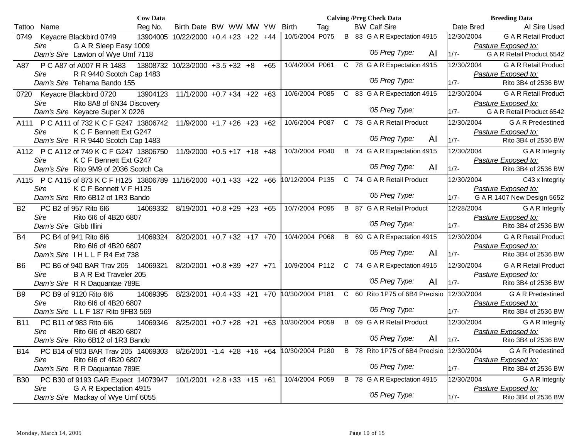|            |                        | <b>Cow Data</b>                                                      |                                      |  |       |                 |     |   | <b>Calving /Preg Check Data</b> |                                  |    |            | <b>Breeding Data</b>        |
|------------|------------------------|----------------------------------------------------------------------|--------------------------------------|--|-------|-----------------|-----|---|---------------------------------|----------------------------------|----|------------|-----------------------------|
| Tattoo     | Name                   | Reg No.                                                              | Birth Date BW WW MW YW               |  |       | <b>Birth</b>    | Tag |   | <b>BW Calf Sire</b>             |                                  |    | Date Bred  | Al Sire Used                |
| 0749       | Keyacre Blackbird 0749 |                                                                      | 13904005 10/22/2000 +0.4 +23 +22 +44 |  |       | 10/5/2004 P075  |     |   |                                 | B 83 G A R Expectation 4915      |    | 12/30/2004 | <b>G A R Retail Product</b> |
|            | Sire                   | G A R Sleep Easy 1009                                                |                                      |  |       |                 |     |   |                                 |                                  |    |            | Pasture Exposed to:         |
|            |                        | Dam's Sire Lawton of Wye Umf 7118                                    |                                      |  |       |                 |     |   |                                 | '05 Preg Type:                   | AI | $1/7 -$    | G A R Retail Product 6542   |
| A87        |                        | P C A87 of A007 R R 1483                                             | 13808732 10/23/2000 +3.5 +32 +8      |  | $+65$ | 10/4/2004 P061  |     |   |                                 | C 78 G A R Expectation 4915      |    | 12/30/2004 | <b>G A R Retail Product</b> |
|            | Sire                   | R R 9440 Scotch Cap 1483                                             |                                      |  |       |                 |     |   |                                 |                                  |    |            | Pasture Exposed to:         |
|            |                        | Dam's Sire Tehama Bando 155                                          |                                      |  |       |                 |     |   |                                 | '05 Preg Type:                   |    | $1/7 -$    | Rito 3B4 of 2536 BW         |
| 0720       | Keyacre Blackbird 0720 | 13904123                                                             | $11/1/2000 +0.7 +34 +22 +63$         |  |       | 10/6/2004 P085  |     |   |                                 | C 83 G A R Expectation 4915      |    | 12/30/2004 | <b>G A R Retail Product</b> |
|            | Sire                   | Rito 8A8 of 6N34 Discovery                                           |                                      |  |       |                 |     |   |                                 |                                  |    |            | Pasture Exposed to:         |
|            |                        | Dam's Sire Keyacre Super X 0226                                      |                                      |  |       |                 |     |   |                                 | '05 Preg Type:                   |    | $1/7 -$    | G A R Retail Product 6542   |
|            |                        | A111 P C A111 of 732 K C F G247 13806742                             | $11/9/2000 + 1.7 + 26 + 23 + 62$     |  |       | 10/6/2004 P087  |     |   |                                 | C 78 G A R Retail Product        |    | 12/30/2004 | <b>GAR</b> Predestined      |
|            | Sire                   | K C F Bennett Ext G247                                               |                                      |  |       |                 |     |   |                                 |                                  |    |            | Pasture Exposed to:         |
|            |                        | Dam's Sire R R 9440 Scotch Cap 1483                                  |                                      |  |       |                 |     |   |                                 | '05 Preg Type:                   | AI | $1/7 -$    | Rito 3B4 of 2536 BW         |
|            |                        | A112 P C A112 of 749 K C F G247 13806750                             | $11/9/2000 + 0.5 + 17 + 18 + 48$     |  |       | 10/3/2004 P040  |     |   |                                 | B 74 G A R Expectation 4915      |    | 12/30/2004 | G A R Integrity             |
|            | Sire                   | K C F Bennett Ext G247                                               |                                      |  |       |                 |     |   |                                 |                                  |    |            | Pasture Exposed to:         |
|            |                        | Dam's Sire Rito 9M9 of 2036 Scotch Ca                                |                                      |  |       |                 |     |   |                                 | '05 Preg Type:                   | AI | $1/7 -$    | Rito 3B4 of 2536 BW         |
|            |                        | A115 P C A115 of 873 K C F H125 13806789 11/16/2000 +0.1 +33 +22 +66 |                                      |  |       | 10/12/2004 P135 |     |   |                                 | C 74 G A R Retail Product        |    | 12/30/2004 | C43 x Integrity             |
|            | <b>Sire</b>            | K C F Bennett V F H125                                               |                                      |  |       |                 |     |   |                                 |                                  |    |            | Pasture Exposed to:         |
|            |                        | Dam's Sire Rito 6B12 of 1R3 Bando                                    |                                      |  |       |                 |     |   |                                 | '05 Preg Type:                   |    | $1/7 -$    | G A R 1407 New Design 5652  |
| <b>B2</b>  | PC B2 of 957 Rito 6l6  | 14069332                                                             | 8/19/2001 +0.8 +29 +23 +65           |  |       | 10/7/2004 P095  |     |   |                                 | <b>B</b> 87 G A R Retail Product |    | 12/28/2004 | <b>G A R Integrity</b>      |
|            | Sire                   | Rito 6l6 of 4B20 6807                                                |                                      |  |       |                 |     |   |                                 |                                  |    |            | Pasture Exposed to:         |
|            | Dam's Sire Gibb Illini |                                                                      |                                      |  |       |                 |     |   |                                 | '05 Preg Type:                   |    | $1/7 -$    | Rito 3B4 of 2536 BW         |
| B4         | PC B4 of 941 Rito 6l6  | 14069324                                                             | 8/20/2001 +0.7 +32 +17 +70           |  |       | 10/4/2004 P068  |     |   |                                 | B 69 G A R Expectation 4915      |    | 12/30/2004 | <b>G A R Retail Product</b> |
|            | Sire                   | Rito 6l6 of 4B20 6807                                                |                                      |  |       |                 |     |   |                                 | '05 Preg Type:                   |    |            | Pasture Exposed to:         |
|            |                        | Dam's Sire IHLLFR4 Ext 738                                           |                                      |  |       |                 |     |   |                                 |                                  | AI | $1/7 -$    | Rito 3B4 of 2536 BW         |
| B6         |                        | PC B6 of 940 BAR Trav 205<br>14069321                                | $8/20/2001$ +0.8 +39 +27 +71         |  |       | 10/9/2004 P112  |     |   |                                 | C 74 G A R Expectation 4915      |    | 12/30/2004 | <b>G A R Retail Product</b> |
|            | Sire                   | <b>B A R Ext Traveler 205</b>                                        |                                      |  |       |                 |     |   |                                 | '05 Preg Type:                   |    |            | Pasture Exposed to:         |
|            |                        | Dam's Sire R R Daquantae 789E                                        |                                      |  |       |                 |     |   |                                 |                                  | AI | $1/7 -$    | Rito 3B4 of 2536 BW         |
| B9         | PC B9 of 9120 Rito 6l6 | 14069395                                                             | $8/23/2001$ +0.4 +33 +21 +70         |  |       | 10/30/2004 P181 |     |   |                                 | C 60 Rito 1P75 of 6B4 Precisio   |    | 12/30/2004 | <b>GAR</b> Predestined      |
|            | Sire                   | Rito 6l6 of 4B20 6807                                                |                                      |  |       |                 |     |   |                                 | '05 Preg Type:                   |    |            | Pasture Exposed to:         |
|            |                        | Dam's Sire LLF 187 Rito 9FB3 569                                     |                                      |  |       |                 |     |   |                                 |                                  |    | $1/7 -$    | Rito 3B4 of 2536 BW         |
| <b>B11</b> | PC B11 of 983 Rito 6l6 | 14069346                                                             | $8/25/2001$ +0.7 +28 +21             |  | $+63$ | 10/30/2004 P059 |     | B |                                 | 69 G A R Retail Product          |    | 12/30/2004 | <b>G A R Integrity</b>      |
|            | Sire                   | Rito 6l6 of 4B20 6807                                                |                                      |  |       |                 |     |   |                                 | '05 Preg Type:                   | Al |            | Pasture Exposed to:         |
|            |                        | Dam's Sire Rito 6B12 of 1R3 Bando                                    |                                      |  |       |                 |     |   |                                 |                                  |    | $1/7 -$    | Rito 3B4 of 2536 BW         |
| <b>B14</b> |                        | PC B14 of 903 BAR Trav 205 14069303                                  | $8/26/2001 -1.4 +28 +16 +64$         |  |       | 10/30/2004 P180 |     |   |                                 | B 78 Rito 1P75 of 6B4 Precisio   |    | 12/30/2004 | <b>G A R Predestined</b>    |
|            | Sire                   | Rito 6l6 of 4B20 6807                                                |                                      |  |       |                 |     |   |                                 | '05 Preg Type:                   |    |            | Pasture Exposed to:         |
|            |                        | Dam's Sire R R Daquantae 789E                                        |                                      |  |       |                 |     |   |                                 |                                  |    | $1/7 -$    | Rito 3B4 of 2536 BW         |
| <b>B30</b> |                        | PC B30 of 9193 GAR Expect 14073947                                   | $10/1/2001$ +2.8 +33 +15 +61         |  |       | 10/4/2004 P059  |     |   |                                 | B 78 G A R Expectation 4915      |    | 12/30/2004 | G A R Integrity             |
|            | Sire                   | G A R Expectation 4915                                               |                                      |  |       |                 |     |   |                                 | '05 Preg Type:                   |    |            | Pasture Exposed to:         |
|            |                        | Dam's Sire Mackay of Wye Umf 6055                                    |                                      |  |       |                 |     |   |                                 |                                  |    | $1/7 -$    | Rito 3B4 of 2536 BW         |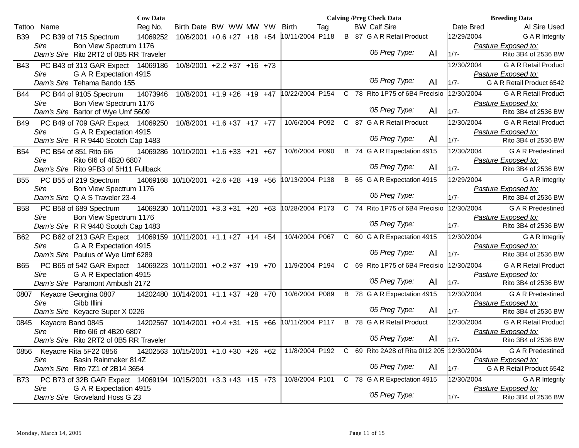|            |                                                               | <b>Cow Data</b> |                                      |                                  |  |                                            |     | <b>Calving /Preg Check Data</b>                           |    |            | <b>Breeding Data</b>        |
|------------|---------------------------------------------------------------|-----------------|--------------------------------------|----------------------------------|--|--------------------------------------------|-----|-----------------------------------------------------------|----|------------|-----------------------------|
| Tattoo     | Name                                                          | Reg No.         | Birth Date BW WW MW YW               |                                  |  | <b>Birth</b>                               | Tag | <b>BW Calf Sire</b>                                       |    | Date Bred  | AI Sire Used                |
| <b>B39</b> | PC B39 of 715 Spectrum                                        | 14069252        |                                      | $10/6/2001 + 0.6 + 27 + 18 + 54$ |  | 10/11/2004 P118                            |     | <b>B</b> 87 G A R Retail Product                          |    | 12/29/2004 | G A R Integrity             |
|            | Bon View Spectrum 1176<br>Sire                                |                 |                                      |                                  |  |                                            |     |                                                           |    |            | Pasture Exposed to:         |
|            | Dam's Sire Rito 2RT2 of 0B5 RR Traveler                       |                 |                                      |                                  |  |                                            |     | '05 Preg Type:                                            | AI | $1/7 -$    | Rito 3B4 of 2536 BW         |
| B43        | PC B43 of 313 GAR Expect 14069186                             |                 |                                      | $10/8/2001$ +2.2 +37 +16 +73     |  |                                            |     |                                                           |    | 12/30/2004 | <b>G A R Retail Product</b> |
|            | G A R Expectation 4915<br>Sire                                |                 |                                      |                                  |  |                                            |     |                                                           |    |            | Pasture Exposed to:         |
|            | Dam's Sire Tehama Bando 155                                   |                 |                                      |                                  |  |                                            |     | '05 Preg Type:                                            | AI | $1/7 -$    | G A R Retail Product 6542   |
| <b>B44</b> | PC B44 of 9105 Spectrum                                       | 14073946        |                                      |                                  |  | 10/8/2001 +1.9 +26 +19 +47 10/22/2004 P154 |     | C 78 Rito 1P75 of 6B4 Precisio                            |    | 12/30/2004 | <b>G A R Retail Product</b> |
|            | Bon View Spectrum 1176<br>Sire                                |                 |                                      |                                  |  |                                            |     |                                                           |    |            | Pasture Exposed to:         |
|            | Dam's Sire Bartor of Wye Umf 5609                             |                 |                                      |                                  |  |                                            |     | '05 Preg Type:                                            | AI | $1/7 -$    | Rito 3B4 of 2536 BW         |
| <b>B49</b> | PC B49 of 709 GAR Expect 14069250                             |                 | $10/8/2001$ +1.6 +37 +17 +77         |                                  |  | 10/6/2004 P092                             |     | C 87 G A R Retail Product                                 |    | 12/30/2004 | <b>G A R Retail Product</b> |
|            | G A R Expectation 4915<br>Sire                                |                 |                                      |                                  |  |                                            |     |                                                           |    |            | Pasture Exposed to:         |
|            | Dam's Sire R R 9440 Scotch Cap 1483                           |                 |                                      |                                  |  |                                            |     | '05 Preg Type:                                            | AI | $1/7 -$    | Rito 3B4 of 2536 BW         |
| <b>B54</b> | PC B54 of 851 Rito 6l6                                        |                 | 14069286 10/10/2001 +1.6 +33 +21 +67 |                                  |  | 10/6/2004 P090                             |     | B 74 G A R Expectation 4915                               |    | 12/30/2004 | <b>GAR</b> Predestined      |
|            | Rito 6l6 of 4B20 6807<br>Sire                                 |                 |                                      |                                  |  |                                            |     |                                                           |    |            | Pasture Exposed to:         |
|            | Dam's Sire Rito 9FB3 of 5H11 Fullback                         |                 |                                      |                                  |  |                                            |     | '05 Preg Type:                                            | AI | $1/7 -$    | Rito 3B4 of 2536 BW         |
| <b>B55</b> | PC B55 of 219 Spectrum                                        |                 | 14069168 10/10/2001 +2.6 +28 +19 +56 |                                  |  | 10/13/2004 P138                            |     | B 65 G A R Expectation 4915                               |    | 12/29/2004 | G A R Integrity             |
|            | Sire<br>Bon View Spectrum 1176                                |                 |                                      |                                  |  |                                            |     |                                                           |    |            | Pasture Exposed to:         |
|            | Dam's Sire Q A S Traveler 23-4                                |                 |                                      |                                  |  |                                            |     | '05 Preg Type:                                            |    | $1/7 -$    | Rito 3B4 of 2536 BW         |
| <b>B58</b> | PC B58 of 689 Spectrum                                        |                 | 14069230 10/11/2001 +3.3 +31 +20 +63 |                                  |  | 10/28/2004 P173                            |     | C 74 Rito 1P75 of 6B4 Precisio                            |    | 12/30/2004 | <b>GAR</b> Predestined      |
|            | Bon View Spectrum 1176<br>Sire                                |                 |                                      |                                  |  |                                            |     |                                                           |    |            | Pasture Exposed to:         |
|            | Dam's Sire R R 9440 Scotch Cap 1483                           |                 |                                      |                                  |  |                                            |     | '05 Preg Type:                                            |    | $1/7 -$    | Rito 3B4 of 2536 BW         |
| B62        | PC B62 of 213 GAR Expect 14069159 10/11/2001 +1.1 +27 +14 +54 |                 |                                      |                                  |  | 10/4/2004 P067                             |     | C 60 G A R Expectation 4915                               |    | 12/30/2004 | G A R Integrity             |
|            | Sire<br>G A R Expectation 4915                                |                 |                                      |                                  |  |                                            |     |                                                           |    |            | Pasture Exposed to:         |
|            | Dam's Sire Paulus of Wye Umf 6289                             |                 |                                      |                                  |  |                                            |     | '05 Preg Type:                                            | AI | $1/7 -$    | Rito 3B4 of 2536 BW         |
| B65        | PC B65 of 542 GAR Expect 14069223 10/11/2001 +0.2 +37 +19 +70 |                 |                                      |                                  |  | 11/9/2004 P194                             |     | C 69 Rito 1P75 of 6B4 Precisio                            |    | 12/30/2004 | <b>G A R Retail Product</b> |
|            | G A R Expectation 4915<br>Sire                                |                 |                                      |                                  |  |                                            |     |                                                           |    |            | Pasture Exposed to:         |
|            | Dam's Sire Paramont Ambush 2172                               |                 |                                      |                                  |  |                                            |     | '05 Preg Type:                                            | AI | $1/7 -$    | Rito 3B4 of 2536 BW         |
| 0807       | Keyacre Georgina 0807                                         |                 | 14202480 10/14/2001 +1.1 +37 +28 +70 |                                  |  | 10/6/2004 P089                             |     | B 78 G A R Expectation 4915                               |    | 12/30/2004 | <b>GAR</b> Predestined      |
|            | Sire<br>Gibb Illini                                           |                 |                                      |                                  |  |                                            |     |                                                           |    |            | Pasture Exposed to:         |
|            | Dam's Sire Keyacre Super X 0226                               |                 |                                      |                                  |  |                                            |     | '05 Preg Type:                                            | AI | $1/7 -$    | Rito 3B4 of 2536 BW         |
| 0845       | Keyacre Band 0845                                             |                 | 14202567 10/14/2001 +0.4 +31 +15 +66 |                                  |  | 10/11/2004 P117                            |     | <b>B</b> 78 G A R Retail Product                          |    | 12/30/2004 | <b>G A R Retail Product</b> |
|            | Rito 6l6 of 4B20 6807<br>Sire                                 |                 |                                      |                                  |  |                                            |     |                                                           |    |            | Pasture Exposed to:         |
|            | Dam's Sire Rito 2RT2 of 0B5 RR Traveler                       |                 |                                      |                                  |  |                                            |     | '05 Preg Type:                                            | Al | $1/7 -$    | Rito 3B4 of 2536 BW         |
| 0856       | Keyacre Rita 5F22 0856                                        |                 | 14202563 10/15/2001 +1.0 +30 +26 +62 |                                  |  |                                            |     | 11/8/2004 P192 C 69 Rito 2A28 of Rita 0l12 205 12/30/2004 |    |            | <b>G A R Predestined</b>    |
|            | Sire<br>Basin Rainmaker 814Z                                  |                 |                                      |                                  |  |                                            |     |                                                           |    |            | Pasture Exposed to:         |
|            | Dam's Sire Rito 7Z1 of 2B14 3654                              |                 |                                      |                                  |  |                                            |     | '05 Preg Type:                                            | AI | $1/7 -$    | G A R Retail Product 6542   |
| B73        | PC B73 of 32B GAR Expect 14069194 10/15/2001 +3.3 +43 +15 +73 |                 |                                      |                                  |  | 10/8/2004 P101                             |     | C 78 G A R Expectation 4915                               |    | 12/30/2004 | G A R Integrity             |
|            | G A R Expectation 4915<br>Sire                                |                 |                                      |                                  |  |                                            |     |                                                           |    |            | Pasture Exposed to:         |
|            | Dam's Sire Groveland Hoss G 23                                |                 |                                      |                                  |  |                                            |     | '05 Preg Type:                                            |    | $1/7 -$    | Rito 3B4 of 2536 BW         |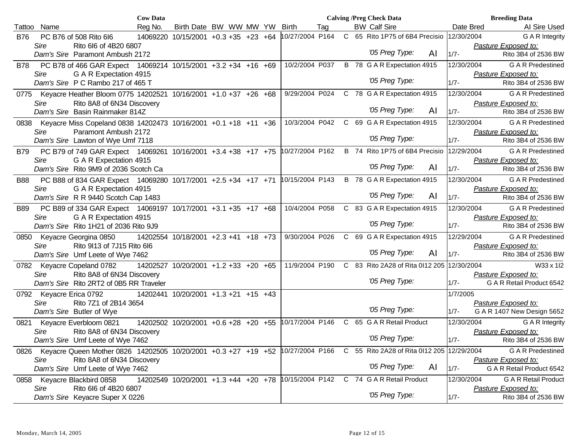|            |                                                                                                                           | <b>Cow Data</b> |                                      |  |                 |     |  | <b>Calving /Preg Check Data</b>           |    |            | <b>Breeding Data</b>                               |
|------------|---------------------------------------------------------------------------------------------------------------------------|-----------------|--------------------------------------|--|-----------------|-----|--|-------------------------------------------|----|------------|----------------------------------------------------|
| Tattoo     | Name                                                                                                                      | Reg No.         | Birth Date BW WW MW YW               |  | <b>Birth</b>    | Tag |  | <b>BW Calf Sire</b>                       |    | Date Bred  | AI Sire Used                                       |
| <b>B76</b> | PC B76 of 508 Rito 6l6                                                                                                    |                 | 14069220 10/15/2001 +0.3 +35 +23 +64 |  | 10/27/2004 P164 |     |  | C 65 Rito 1P75 of 6B4 Precisio            |    | 12/30/2004 | G A R Integrity                                    |
|            | Sire<br>Rito 6l6 of 4B20 6807                                                                                             |                 |                                      |  |                 |     |  |                                           |    |            | Pasture Exposed to:                                |
|            | Dam's Sire Paramont Ambush 2172                                                                                           |                 |                                      |  |                 |     |  | '05 Preg Type:                            | AI | $1/7 -$    | Rito 3B4 of 2536 BW                                |
| B78        | PC B78 of 466 GAR Expect 14069214 10/15/2001 +3.2 +34 +16 +69                                                             |                 |                                      |  | 10/2/2004 P037  |     |  | B 78 G A R Expectation 4915               |    | 12/30/2004 | <b>G A R Predestined</b>                           |
|            | G A R Expectation 4915<br>Sire                                                                                            |                 |                                      |  |                 |     |  |                                           |    |            | Pasture Exposed to:                                |
|            | Dam's Sire P C Rambo 217 of 465 T                                                                                         |                 |                                      |  |                 |     |  | '05 Preg Type:                            |    | $1/7 -$    | Rito 3B4 of 2536 BW                                |
|            | 0775 Keyacre Heather Bloom 0775 14202521 10/16/2001 +1.0 +37 +26 +68                                                      |                 |                                      |  | 9/29/2004 P024  |     |  | C 78 G A R Expectation 4915               |    | 12/30/2004 | <b>G A R Predestined</b>                           |
|            | Rito 8A8 of 6N34 Discovery<br>Sire                                                                                        |                 |                                      |  |                 |     |  |                                           |    |            | Pasture Exposed to:                                |
|            | Dam's Sire Basin Rainmaker 814Z                                                                                           |                 |                                      |  |                 |     |  | '05 Preg Type:                            | AI | $1/7 -$    | Rito 3B4 of 2536 BW                                |
|            | 0838 Keyacre Miss Copeland 0838 14202473 10/16/2001 +0.1 +18 +11 +36                                                      |                 |                                      |  | 10/3/2004 P042  |     |  | C 69 G A R Expectation 4915               |    | 12/30/2004 | <b>GAR</b> Predestined                             |
|            | Sire<br>Paramont Ambush 2172                                                                                              |                 |                                      |  |                 |     |  |                                           |    |            | Pasture Exposed to:                                |
|            | Dam's Sire Lawton of Wye Umf 7118                                                                                         |                 |                                      |  |                 |     |  | '05 Preg Type:                            |    | $1/7 -$    | Rito 3B4 of 2536 BW                                |
| B79        | PC B79 of 749 GAR Expect 14069261 10/16/2001 +3.4 +38 +17 +75   10/27/2004 P162                                           |                 |                                      |  |                 |     |  | B 74 Rito 1P75 of 6B4 Precisio            |    | 12/29/2004 | <b>GAR</b> Predestined                             |
|            | G A R Expectation 4915<br>Sire                                                                                            |                 |                                      |  |                 |     |  | '05 Preg Type:                            |    |            | Pasture Exposed to:                                |
|            | Dam's Sire Rito 9M9 of 2036 Scotch Ca                                                                                     |                 |                                      |  |                 |     |  |                                           | AI | $1/7 -$    | Rito 3B4 of 2536 BW                                |
| <b>B88</b> | PC B88 of 834 GAR Expect 14069280 10/17/2001 +2.5 +34 +17 +71 10/15/2004 P143                                             |                 |                                      |  |                 |     |  | B 78 G A R Expectation 4915               |    | 12/30/2004 | <b>GAR</b> Predestined                             |
|            | Sire<br>G A R Expectation 4915                                                                                            |                 |                                      |  |                 |     |  | '05 Preg Type:                            | AI |            | Pasture Exposed to:                                |
|            | Dam's Sire R R 9440 Scotch Cap 1483                                                                                       |                 |                                      |  |                 |     |  |                                           |    | $1/7 -$    | Rito 3B4 of 2536 BW                                |
| <b>B89</b> | PC B89 of 334 GAR Expect 14069197 10/17/2001 +3.1 +35 +17 +68                                                             |                 |                                      |  | 10/4/2004 P058  |     |  | C 83 G A R Expectation 4915               |    | 12/30/2004 | <b>GAR</b> Predestined                             |
|            | G A R Expectation 4915<br>Sire<br>Dam's Sire Rito 1H21 of 2036 Rito 9J9                                                   |                 |                                      |  |                 |     |  | '05 Preg Type:                            |    | $1/7 -$    | Pasture Exposed to:<br>Rito 3B4 of 2536 BW         |
|            | 0850 Keyacre Georgina 0850                                                                                                |                 | 14202554 10/18/2001 +2.3 +41 +18 +73 |  | 9/30/2004 P026  |     |  | C 69 G A R Expectation 4915               |    | 12/29/2004 | <b>GAR</b> Predestined                             |
|            | Sire<br>Rito 9l13 of 7J15 Rito 6l6                                                                                        |                 |                                      |  |                 |     |  |                                           |    |            | Pasture Exposed to:                                |
|            | Dam's Sire Umf Leete of Wye 7462                                                                                          |                 |                                      |  |                 |     |  | '05 Preg Type:                            | AI | $1/7 -$    | Rito 3B4 of 2536 BW                                |
| 0782       | Keyacre Copeland 0782                                                                                                     |                 | 14202527 10/20/2001 +1.2 +33 +20 +65 |  | 11/9/2004 P190  |     |  | C 83 Rito 2A28 of Rita 0112 205           |    | 12/30/2004 | W33 x 1I2                                          |
|            | Rito 8A8 of 6N34 Discovery<br>Sire                                                                                        |                 |                                      |  |                 |     |  |                                           |    |            | Pasture Exposed to:                                |
|            | Dam's Sire Rito 2RT2 of 0B5 RR Traveler                                                                                   |                 |                                      |  |                 |     |  | '05 Preg Type:                            |    | $1/7 -$    | G A R Retail Product 6542                          |
|            | 0792 Keyacre Erica 0792                                                                                                   |                 | 14202441 10/20/2001 +1.3 +21 +15 +43 |  |                 |     |  |                                           |    | 1/7/2005   |                                                    |
|            | Sire<br>Rito 7Z1 of 2B14 3654                                                                                             |                 |                                      |  |                 |     |  | '05 Preg Type:                            |    |            | Pasture Exposed to:                                |
|            | Dam's Sire Butler of Wye                                                                                                  |                 |                                      |  |                 |     |  |                                           |    | $1/7 -$    | G A R 1407 New Design 5652                         |
| 0821       | Keyacre Everbloom 0821                                                                                                    |                 | 14202502 10/20/2001 +0.6 +28 +20 +55 |  | 10/17/2004 P146 |     |  | C 65 G A R Retail Product                 |    | 12/30/2004 | G A R Integrity                                    |
|            | Rito 8A8 of 6N34 Discovery<br>Sire                                                                                        |                 |                                      |  |                 |     |  | '05 Preg Type:                            |    | $1/7 -$    | Pasture Exposed to:                                |
|            | Dam's Sire Umf Leete of Wye 7462                                                                                          |                 |                                      |  |                 |     |  |                                           |    |            | Rito 3B4 of 2536 BW                                |
| 0826       | Keyacre Queen Mother 0826 14202505 10/20/2001 +0.3 +27 +19 +52 10/27/2004 P166 C 55 Rito 2A28 of Rita 0112 205 12/29/2004 |                 |                                      |  |                 |     |  |                                           |    |            | <b>GAR</b> Predestined<br>Pasture Exposed to:      |
|            | Sire<br>Rito 8A8 of 6N34 Discovery<br>Dam's Sire Umf Leete of Wye 7462                                                    |                 |                                      |  |                 |     |  | '05 Preg Type:                            | AI | $1/7 -$    | G A R Retail Product 6542                          |
|            |                                                                                                                           |                 |                                      |  |                 |     |  | 10/15/2004 P142 C 74 G A R Retail Product |    | 12/30/2004 |                                                    |
| 0858       | Keyacre Blackbird 0858<br>Rito 6l6 of 4B20 6807<br>Sire                                                                   |                 | 14202549 10/20/2001 +1.3 +44 +20 +78 |  |                 |     |  |                                           |    |            | <b>G A R Retail Product</b><br>Pasture Exposed to: |
|            | Dam's Sire Keyacre Super X 0226                                                                                           |                 |                                      |  |                 |     |  | '05 Preg Type:                            |    | $1/7 -$    | Rito 3B4 of 2536 BW                                |
|            |                                                                                                                           |                 |                                      |  |                 |     |  |                                           |    |            |                                                    |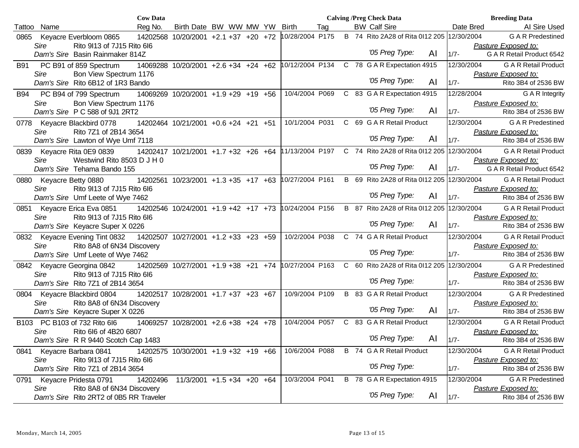|                |                                | <b>Cow Data</b>                                                  |                                                      |  |  |                 |     |  | <b>Calving /Preg Check Data</b>            |    |            | <b>Breeding Data</b>                             |
|----------------|--------------------------------|------------------------------------------------------------------|------------------------------------------------------|--|--|-----------------|-----|--|--------------------------------------------|----|------------|--------------------------------------------------|
| Name<br>Tattoo |                                | Reg No.                                                          | Birth Date BW WW MW YW Birth                         |  |  |                 | Tag |  | <b>BW Calf Sire</b>                        |    | Date Bred  | AI Sire Used                                     |
| 0865           | Keyacre Everbloom 0865         |                                                                  | 14202568 10/20/2001 +2.1 +37 +20 +72                 |  |  | 10/28/2004 P175 |     |  | B 74 Rito 2A28 of Rita 0112 205 12/30/2004 |    |            | <b>GAR</b> Predestined                           |
| Sire           |                                | Rito 9113 of 7J15 Rito 6I6                                       |                                                      |  |  |                 |     |  |                                            |    |            | Pasture Exposed to:                              |
|                |                                | Dam's Sire Basin Rainmaker 814Z                                  |                                                      |  |  |                 |     |  | '05 Preg Type:                             | AI | $1/7 -$    | G A R Retail Product 6542                        |
| <b>B91</b>     | PC B91 of 859 Spectrum         |                                                                  | 14069288 10/20/2001 +2.6 +34 +24 +62 10/12/2004 P134 |  |  |                 |     |  | C 78 G A R Expectation 4915                |    | 12/30/2004 | <b>G A R Retail Product</b>                      |
| Sire           |                                | Bon View Spectrum 1176                                           |                                                      |  |  |                 |     |  | '05 Preg Type:                             |    |            | Pasture Exposed to:                              |
|                |                                | Dam's Sire Rito 6B12 of 1R3 Bando                                |                                                      |  |  |                 |     |  |                                            | AI | $1/7 -$    | Rito 3B4 of 2536 BW                              |
| B94            | PC B94 of 799 Spectrum         |                                                                  | 14069269 10/20/2001 +1.9 +29 +19 +56                 |  |  | 10/4/2004 P069  |     |  | C 83 G A R Expectation 4915                |    | 12/28/2004 | <b>G A R Integrity</b>                           |
| Sire           |                                | Bon View Spectrum 1176                                           |                                                      |  |  |                 |     |  | '05 Preg Type:                             |    |            | Pasture Exposed to:                              |
|                |                                | Dam's Sire P C 588 of 9J1 2RT2                                   |                                                      |  |  |                 |     |  |                                            | AI | $1/7 -$    | Rito 3B4 of 2536 BW                              |
|                | 0778 Keyacre Blackbird 0778    |                                                                  | 14202464 10/21/2001 +0.6 +24 +21 +51                 |  |  | 10/1/2004 P031  |     |  | C 69 G A R Retail Product                  |    | 12/30/2004 | <b>GAR</b> Predestined                           |
| Sire           |                                | Rito 7Z1 of 2B14 3654                                            |                                                      |  |  |                 |     |  | '05 Preg Type:                             | AI | $1/7 -$    | Pasture Exposed to:<br>Rito 3B4 of 2536 BW       |
|                |                                | Dam's Sire Lawton of Wye Umf 7118                                |                                                      |  |  |                 |     |  |                                            |    |            |                                                  |
| 0839           | Keyacre Rita 0E9 0839          |                                                                  | 14202417 10/21/2001 +1.7 +32 +26 +64                 |  |  | 11/13/2004 P197 |     |  | C 74 Rito 2A28 of Rita 0112 205 12/30/2004 |    |            | <b>G A R Retail Product</b>                      |
| Sire           |                                | Westwind Rito 8503 D J H 0<br>Dam's Sire Tehama Bando 155        |                                                      |  |  |                 |     |  | '05 Preg Type:                             | AI | $1/7 -$    | Pasture Exposed to:<br>G A R Retail Product 6542 |
|                |                                |                                                                  |                                                      |  |  |                 |     |  | B 69 Rito 2A28 of Rita 0112 205 12/30/2004 |    |            |                                                  |
| Sire           | 0880 Keyacre Betty 0880        | Rito 9l13 of 7J15 Rito 6l6                                       | 14202561 10/23/2001 +1.3 +35 +17 +63 10/27/2004 P161 |  |  |                 |     |  |                                            |    |            | <b>G A R Retail Product</b>                      |
|                |                                | Dam's Sire Umf Leete of Wye 7462                                 |                                                      |  |  |                 |     |  | '05 Preg Type:                             | AI | $1/7 -$    | Pasture Exposed to:<br>Rito 3B4 of 2536 BW       |
|                | Keyacre Erica Eva 0851         |                                                                  |                                                      |  |  | 10/24/2004 P156 |     |  | B 87 Rito 2A28 of Rita 0112 205 12/30/2004 |    |            | <b>G A R Retail Product</b>                      |
| 0851<br>Sire   |                                | Rito 9113 of 7J15 Rito 6I6                                       | 14202546 10/24/2001 +1.9 +42 +17 +73                 |  |  |                 |     |  |                                            |    |            | Pasture Exposed to:                              |
|                |                                | Dam's Sire Keyacre Super X 0226                                  |                                                      |  |  |                 |     |  | '05 Preg Type:                             | AI | $1/7 -$    | Rito 3B4 of 2536 BW                              |
|                | 0832 Keyacre Evening Tint 0832 |                                                                  | 14202507 10/27/2001 +1.2 +33 +23 +59                 |  |  | 10/2/2004 P038  |     |  | C 74 G A R Retail Product                  |    | 12/30/2004 | <b>G A R Retail Product</b>                      |
| Sire           |                                | Rito 8A8 of 6N34 Discovery                                       |                                                      |  |  |                 |     |  |                                            |    |            | Pasture Exposed to:                              |
|                |                                | Dam's Sire Umf Leete of Wye 7462                                 |                                                      |  |  |                 |     |  | '05 Preg Type:                             |    | $1/7 -$    | Rito 3B4 of 2536 BW                              |
| 0842           | Keyacre Georgina 0842          |                                                                  | 14202569 10/27/2001 +1.9 +38 +21 +74                 |  |  | 10/27/2004 P163 |     |  | C 60 Rito 2A28 of Rita 0112 205 12/30/2004 |    |            | <b>GAR</b> Predestined                           |
| Sire           |                                | Rito 9113 of 7J15 Rito 6I6                                       |                                                      |  |  |                 |     |  | '05 Preg Type:                             |    |            | Pasture Exposed to:                              |
|                |                                | Dam's Sire Rito 7Z1 of 2B14 3654                                 |                                                      |  |  |                 |     |  |                                            |    | $1/7 -$    | Rito 3B4 of 2536 BW                              |
|                |                                | 0804 Keyacre Blackbird 0804 14202517 10/28/2001 +1.7 +37 +23 +67 |                                                      |  |  | 10/9/2004 P109  |     |  | <b>B</b> 83 G A R Retail Product           |    | 12/30/2004 | <b>GAR</b> Predestined                           |
| Sire           |                                | Rito 8A8 of 6N34 Discovery                                       |                                                      |  |  |                 |     |  | '05 Preg Type:                             | AI | $1/7 -$    | Pasture Exposed to:                              |
|                |                                | Dam's Sire Keyacre Super X 0226                                  |                                                      |  |  |                 |     |  |                                            |    |            | Rito 3B4 of 2536 BW                              |
|                | B103 PC B103 of 732 Rito 6l6   |                                                                  | 14069257 10/28/2001 +2.6 +38 +24 +78                 |  |  | 10/4/2004 P057  |     |  | C 83 G A R Retail Product                  |    | 12/30/2004 | <b>G A R Retail Product</b>                      |
| Sire           |                                | Rito 6l6 of 4B20 6807<br>Dam's Sire R R 9440 Scotch Cap 1483     |                                                      |  |  |                 |     |  | '05 Preg Type:                             | AI | $1/7 -$    | Pasture Exposed to:<br>Rito 3B4 of 2536 BW       |
| 0841           | Keyacre Barbara 0841           |                                                                  | 14202575 10/30/2001 +1.9 +32 +19 +66                 |  |  | 10/6/2004 P088  |     |  | <b>B</b> 74 G A R Retail Product           |    | 12/30/2004 | <b>G A R Retail Product</b>                      |
| Sire           |                                | Rito 9113 of 7J15 Rito 6l6                                       |                                                      |  |  |                 |     |  |                                            |    |            | Pasture Exposed to:                              |
|                |                                | Dam's Sire Rito 7Z1 of 2B14 3654                                 |                                                      |  |  |                 |     |  | '05 Preg Type:                             |    | $1/7 -$    | Rito 3B4 of 2536 BW                              |
| 0791           | Keyacre Pridesta 0791          | 14202496                                                         | $11/3/2001$ +1.5 +34 +20 +64                         |  |  | 10/3/2004 P041  |     |  | B 78 G A R Expectation 4915                |    | 12/30/2004 | <b>GAR</b> Predestined                           |
| Sire           |                                | Rito 8A8 of 6N34 Discovery                                       |                                                      |  |  |                 |     |  |                                            |    |            | Pasture Exposed to:                              |
|                |                                | Dam's Sire Rito 2RT2 of 0B5 RR Traveler                          |                                                      |  |  |                 |     |  | '05 Preg Type:                             | AI | $1/7 -$    | Rito 3B4 of 2536 BW                              |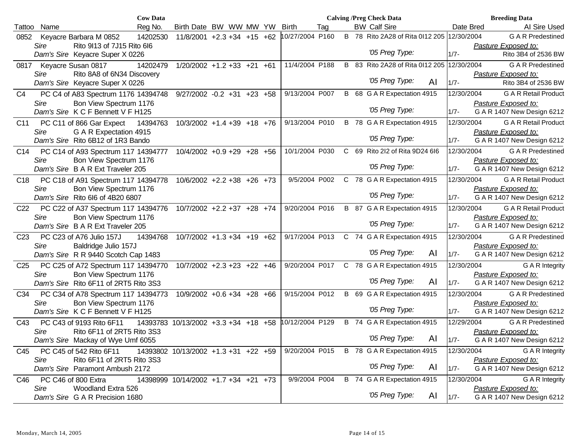|                 |             |                                       | <b>Cow Data</b> |                                      |  |                 |     |  | <b>Calving /Preg Check Data</b>            |    |            | <b>Breeding Data</b>                              |  |
|-----------------|-------------|---------------------------------------|-----------------|--------------------------------------|--|-----------------|-----|--|--------------------------------------------|----|------------|---------------------------------------------------|--|
| Tattoo          | Name        |                                       | Reg No.         | Birth Date BW WW MW YW               |  | <b>Birth</b>    | Tag |  | <b>BW Calf Sire</b>                        |    | Date Bred  | Al Sire Used                                      |  |
| 0852            |             | Keyacre Barbara M 0852                | 14202530        | $11/8/2001$ +2.3 +34 +15 +62         |  | 10/27/2004 P160 |     |  | B 78 Rito 2A28 of Rita 0112 205 12/30/2004 |    |            | <b>G A R Predestined</b>                          |  |
|                 | <b>Sire</b> | Rito 9113 of 7J15 Rito 6I6            |                 |                                      |  |                 |     |  |                                            |    |            | Pasture Exposed to:                               |  |
|                 |             | Dam's Sire Keyacre Super X 0226       |                 |                                      |  |                 |     |  | '05 Preg Type:                             |    | $1/7 -$    | Rito 3B4 of 2536 BW                               |  |
| 0817            |             | Keyacre Susan 0817                    | 14202479        | $1/20/2002$ +1.2 +33 +21 +61         |  | 11/4/2004 P188  |     |  | B 83 Rito 2A28 of Rita 0l12 205            |    | 12/30/2004 | <b>G A R Predestined</b>                          |  |
|                 | Sire        | Rito 8A8 of 6N34 Discovery            |                 |                                      |  |                 |     |  |                                            |    |            | Pasture Exposed to:                               |  |
|                 |             | Dam's Sire Keyacre Super X 0226       |                 |                                      |  |                 |     |  | '05 Preg Type:                             | AI | $1/7 -$    | Rito 3B4 of 2536 BW                               |  |
| C <sub>4</sub>  |             | PC C4 of A83 Spectrum 1176 14394748   |                 | $9/27/2002 -0.2 +31 +23 +58$         |  | 9/13/2004 P007  |     |  | B 68 G A R Expectation 4915                |    | 12/30/2004 | <b>G A R Retail Product</b>                       |  |
|                 | Sire        | Bon View Spectrum 1176                |                 |                                      |  |                 |     |  |                                            |    |            | Pasture Exposed to:                               |  |
|                 |             | Dam's Sire K C F Bennett V F H125     |                 |                                      |  |                 |     |  | '05 Preg Type:                             |    | $1/7 -$    | G A R 1407 New Design 6212                        |  |
| C11             |             | PC C11 of 866 Gar Expect              | 14394763        | $10/3/2002 + 1.4 + 39 + 18 + 76$     |  | 9/13/2004 P010  |     |  | B 78 G A R Expectation 4915                |    | 12/30/2004 | <b>G A R Retail Product</b>                       |  |
|                 | <b>Sire</b> | G A R Expectation 4915                |                 |                                      |  |                 |     |  |                                            |    |            | Pasture Exposed to:                               |  |
|                 |             | Dam's Sire Rito 6B12 of 1R3 Bando     |                 |                                      |  |                 |     |  | '05 Preg Type:                             |    | $1/7 -$    | G A R 1407 New Design 6212                        |  |
| C <sub>14</sub> |             | PC C14 of A93 Spectrum 117 14394777   |                 | 10/4/2002 +0.9 +29 +28 +56           |  | 10/1/2004 P030  |     |  | C 69 Rito 2l2 of Rita 9D24 6l6             |    | 12/30/2004 | <b>G A R Predestined</b>                          |  |
|                 | Sire        | Bon View Spectrum 1176                |                 |                                      |  |                 |     |  |                                            |    |            | Pasture Exposed to:                               |  |
|                 |             | Dam's Sire B A R Ext Traveler 205     |                 |                                      |  |                 |     |  | '05 Preg Type:                             |    | $1/7 -$    | G A R 1407 New Design 6212                        |  |
| C <sub>18</sub> |             | PC C18 of A91 Spectrum 117 14394778   |                 | $10/6/2002$ +2.2 +38 +26 +73         |  | 9/5/2004 P002   |     |  | C 78 G A R Expectation 4915                |    | 12/30/2004 | <b>G A R Retail Product</b>                       |  |
|                 | Sire        | Bon View Spectrum 1176                |                 |                                      |  |                 |     |  |                                            |    |            | Pasture Exposed to:                               |  |
|                 |             | Dam's Sire Rito 616 of 4B20 6807      |                 |                                      |  |                 |     |  | '05 Preg Type:                             |    | $1/7 -$    | G A R 1407 New Design 6212                        |  |
| C <sub>22</sub> |             | PC C22 of A37 Spectrum 117 14394776   |                 | 10/7/2002 +2.2 +37 +28 +74           |  | 9/20/2004 P016  |     |  | B 87 G A R Expectation 4915                |    | 12/30/2004 | <b>G A R Retail Product</b>                       |  |
|                 | Sire        | Bon View Spectrum 1176                |                 |                                      |  |                 |     |  |                                            |    |            | Pasture Exposed to:                               |  |
|                 |             | Dam's Sire B A R Ext Traveler 205     |                 |                                      |  |                 |     |  | '05 Preg Type:                             |    | $1/7 -$    | G A R 1407 New Design 6212                        |  |
| C <sub>23</sub> |             | PC C23 of A76 Julio 157J              | 14394768        | 10/7/2002 +1.3 +34 +19 +62           |  | 9/17/2004 P013  |     |  | C 74 G A R Expectation 4915                |    | 12/30/2004 | <b>G A R Predestined</b>                          |  |
|                 | Sire        | Baldridge Julio 157J                  |                 |                                      |  |                 |     |  | '05 Preg Type:                             |    |            | Pasture Exposed to:                               |  |
|                 |             | Dam's Sire R R 9440 Scotch Cap 1483   |                 |                                      |  |                 |     |  |                                            | AI | $1/7 -$    | G A R 1407 New Design 6212                        |  |
| C <sub>25</sub> |             | PC C25 of A72 Spectrum 117 14394770   |                 | $10/7/2002$ +2.3 +23 +22 +46         |  | 9/20/2004 P017  |     |  | C 78 G A R Expectation 4915                |    | 12/30/2004 | G A R Integrity                                   |  |
|                 | Sire        | Bon View Spectrum 1176                |                 |                                      |  |                 |     |  | '05 Preg Type:                             | AI |            | Pasture Exposed to:                               |  |
|                 |             | Dam's Sire Rito 6F11 of 2RT5 Rito 3S3 |                 |                                      |  |                 |     |  |                                            |    | $1/7 -$    | G A R 1407 New Design 6212                        |  |
| C <sub>34</sub> |             | PC C34 of A78 Spectrum 117 14394773   |                 | 10/9/2002 +0.6 +34 +28 +66           |  | 9/15/2004 P012  |     |  | B 69 G A R Expectation 4915                |    | 12/30/2004 | <b>G A R Predestined</b>                          |  |
|                 | Sire        | Bon View Spectrum 1176                |                 |                                      |  |                 |     |  | '05 Preg Type:                             |    |            | Pasture Exposed to:                               |  |
|                 |             | Dam's Sire K C F Bennett V F H125     |                 |                                      |  |                 |     |  |                                            |    | $1/7 -$    | G A R 1407 New Design 6212                        |  |
| C43             |             | PC C43 of 9193 Rito 6F11              |                 | 14393783 10/13/2002 +3.3 +34 +18 +58 |  | 10/12/2004 P129 |     |  | B 74 G A R Expectation 4915                |    | 12/29/2004 | <b>G A R Predestined</b>                          |  |
|                 | Sire        | Rito 6F11 of 2RT5 Rito 3S3            |                 |                                      |  |                 |     |  | '05 Preg Type:                             | Al | $1/7 -$    | Pasture Exposed to:                               |  |
|                 |             | Dam's Sire Mackay of Wye Umf 6055     |                 |                                      |  |                 |     |  |                                            |    |            | G A R 1407 New Design 6212                        |  |
| C45             |             | PC C45 of 542 Rito 6F11               |                 | 14393802 10/13/2002 +1.3 +31 +22 +59 |  |                 |     |  | 9/20/2004 P015 B 78 G A R Expectation 4915 |    | 12/30/2004 | G A R Integrity                                   |  |
|                 | Sire        | Rito 6F11 of 2RT5 Rito 3S3            |                 |                                      |  |                 |     |  | '05 Preg Type:                             | AI |            | Pasture Exposed to:<br>G A R 1407 New Design 6212 |  |
|                 |             | Dam's Sire Paramont Ambush 2172       |                 |                                      |  |                 |     |  |                                            |    | $1/7 -$    |                                                   |  |
| C46             |             | PC C46 of 800 Extra                   |                 | 14398999 10/14/2002 +1.7 +34 +21 +73 |  | 9/9/2004 P004   |     |  | B 74 G A R Expectation 4915                |    | 12/30/2004 | <b>G A R Integrity</b>                            |  |
|                 | Sire        | Woodland Extra 526                    |                 |                                      |  |                 |     |  | '05 Preg Type:                             | AI |            | Pasture Exposed to:<br>G A R 1407 New Design 6212 |  |
|                 |             | Dam's Sire G A R Precision 1680       |                 |                                      |  |                 |     |  |                                            |    | $1/7 -$    |                                                   |  |